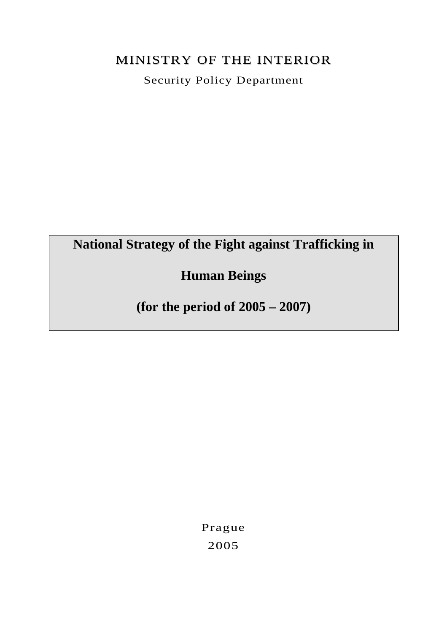# MINISTRY OF THE INTERIOR

Security Policy Department

# **National Strategy of the Fight against Trafficking in**

# **Human Beings**

**(for the period of 2005 – 2007)** 

Prague 2005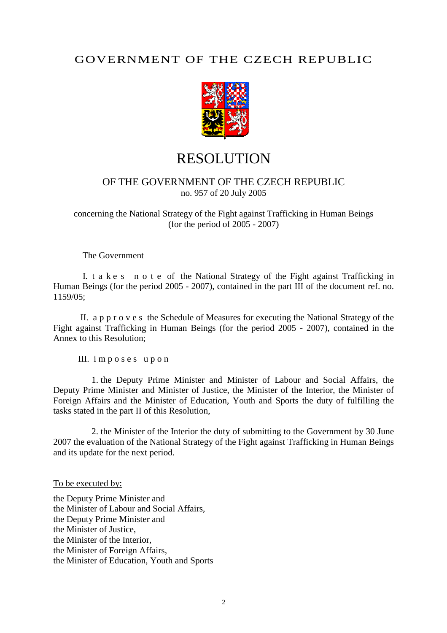# GOVERNMENT OF THE CZECH REPUBLIC



# **RESOLUTION**

### OF THE GOVERNMENT OF THE CZECH REPUBLIC no. 957 of 20 July 2005

concerning the National Strategy of the Fight against Trafficking in Human Beings (for the period of 2005 - 2007)

The Government

 I. t a k e s n o t e of the National Strategy of the Fight against Trafficking in Human Beings (for the period 2005 - 2007), contained in the part III of the document ref. no. 1159/05;

 II. a p p r o v e s the Schedule of Measures for executing the National Strategy of the Fight against Trafficking in Human Beings (for the period 2005 - 2007), contained in the Annex to this Resolution;

III. i m p o s e s u p o n

 1. the Deputy Prime Minister and Minister of Labour and Social Affairs, the Deputy Prime Minister and Minister of Justice, the Minister of the Interior, the Minister of Foreign Affairs and the Minister of Education, Youth and Sports the duty of fulfilling the tasks stated in the part II of this Resolution,

 2. the Minister of the Interior the duty of submitting to the Government by 30 June 2007 the evaluation of the National Strategy of the Fight against Trafficking in Human Beings and its update for the next period.

To be executed by:

the Deputy Prime Minister and the Minister of Labour and Social Affairs, the Deputy Prime Minister and the Minister of Justice, the Minister of the Interior, the Minister of Foreign Affairs, the Minister of Education, Youth and Sports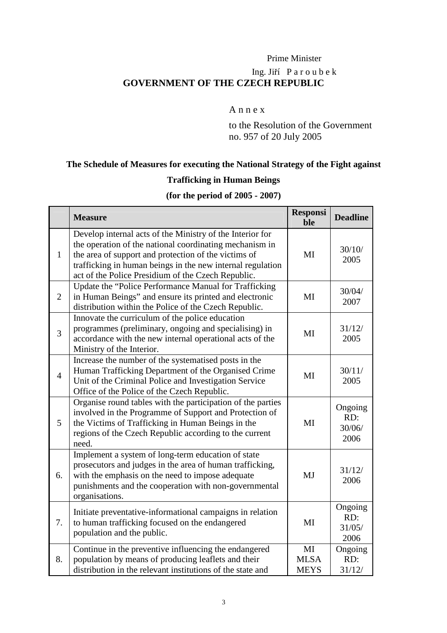# Prime Minister Ing. Jiří P a r o u b e k **GOVERNMENT OF THE CZECH REPUBLIC**

### A n n e x

 to the Resolution of the Government no. 957 of 20 July 2005

# **The Schedule of Measures for executing the National Strategy of the Fight against**

# **Trafficking in Human Beings**

# **(for the period of 2005 - 2007)**

|                | <b>Measure</b>                                                                                                                                                                                                                                                                                   | <b>Responsi</b><br>ble           | <b>Deadline</b>                  |
|----------------|--------------------------------------------------------------------------------------------------------------------------------------------------------------------------------------------------------------------------------------------------------------------------------------------------|----------------------------------|----------------------------------|
| $\mathbf{1}$   | Develop internal acts of the Ministry of the Interior for<br>the operation of the national coordinating mechanism in<br>the area of support and protection of the victims of<br>trafficking in human beings in the new internal regulation<br>act of the Police Presidium of the Czech Republic. | MI                               | 30/10/<br>2005                   |
| 2              | Update the "Police Performance Manual for Trafficking<br>in Human Beings" and ensure its printed and electronic<br>distribution within the Police of the Czech Republic.                                                                                                                         | MI                               | 30/04/<br>2007                   |
| $\overline{3}$ | Innovate the curriculum of the police education<br>programmes (preliminary, ongoing and specialising) in<br>accordance with the new internal operational acts of the<br>Ministry of the Interior.                                                                                                | MI                               | 31/12/<br>2005                   |
| $\overline{4}$ | Increase the number of the systematised posts in the<br>Human Trafficking Department of the Organised Crime<br>Unit of the Criminal Police and Investigation Service<br>Office of the Police of the Czech Republic.                                                                              | MI                               | 30/11/<br>2005                   |
| 5              | Organise round tables with the participation of the parties<br>involved in the Programme of Support and Protection of<br>the Victims of Trafficking in Human Beings in the<br>regions of the Czech Republic according to the current<br>need.                                                    | MI                               | Ongoing<br>RD:<br>30/06/<br>2006 |
| 6.             | Implement a system of long-term education of state<br>prosecutors and judges in the area of human trafficking,<br>with the emphasis on the need to impose adequate<br>punishments and the cooperation with non-governmental<br>organisations.                                                    | MJ                               | 31/12/<br>2006                   |
| 7.             | Initiate preventative-informational campaigns in relation<br>to human trafficking focused on the endangered<br>population and the public.                                                                                                                                                        | MI                               | Ongoing<br>RD:<br>31/05/<br>2006 |
| 8.             | Continue in the preventive influencing the endangered<br>population by means of producing leaflets and their<br>distribution in the relevant institutions of the state and                                                                                                                       | MI<br><b>MLSA</b><br><b>MEYS</b> | Ongoing<br>RD:<br>31/12/         |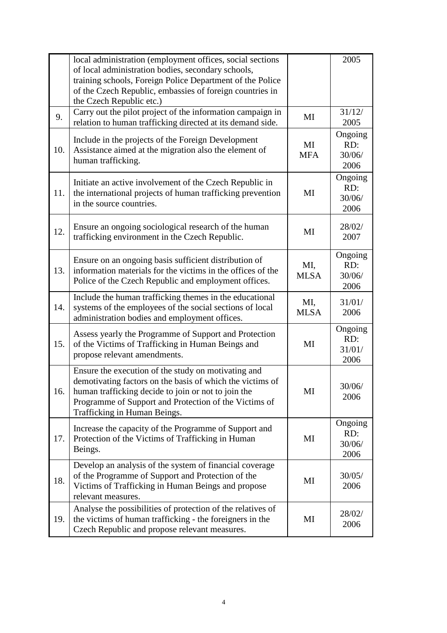|     | local administration (employment offices, social sections<br>of local administration bodies, secondary schools,<br>training schools, Foreign Police Department of the Police<br>of the Czech Republic, embassies of foreign countries in<br>the Czech Republic etc.) |                    | 2005                             |
|-----|----------------------------------------------------------------------------------------------------------------------------------------------------------------------------------------------------------------------------------------------------------------------|--------------------|----------------------------------|
| 9.  | Carry out the pilot project of the information campaign in<br>relation to human trafficking directed at its demand side.                                                                                                                                             | MI                 | 31/12/<br>2005                   |
| 10. | Include in the projects of the Foreign Development<br>Assistance aimed at the migration also the element of<br>human trafficking.                                                                                                                                    | MI<br><b>MFA</b>   | Ongoing<br>RD:<br>30/06/<br>2006 |
| 11. | Initiate an active involvement of the Czech Republic in<br>the international projects of human trafficking prevention<br>in the source countries.                                                                                                                    | MI                 | Ongoing<br>RD:<br>30/06/<br>2006 |
| 12. | Ensure an ongoing sociological research of the human<br>trafficking environment in the Czech Republic.                                                                                                                                                               | MI                 | 28/02/<br>2007                   |
| 13. | Ensure on an ongoing basis sufficient distribution of<br>information materials for the victims in the offices of the<br>Police of the Czech Republic and employment offices.                                                                                         | MI,<br><b>MLSA</b> | Ongoing<br>RD:<br>30/06/<br>2006 |
| 14. | Include the human trafficking themes in the educational<br>systems of the employees of the social sections of local<br>administration bodies and employment offices.                                                                                                 | MI,<br><b>MLSA</b> | 31/01/<br>2006                   |
| 15. | Assess yearly the Programme of Support and Protection<br>of the Victims of Trafficking in Human Beings and<br>propose relevant amendments.                                                                                                                           | MI                 | Ongoing<br>RD:<br>31/01/<br>2006 |
| 16. | Ensure the execution of the study on motivating and<br>demotivating factors on the basis of which the victims of<br>human trafficking decide to join or not to join the<br>Programme of Support and Protection of the Victims of<br>Trafficking in Human Beings.     | MI                 | 30/06/<br>2006                   |
| 17. | Increase the capacity of the Programme of Support and<br>Protection of the Victims of Trafficking in Human<br>Beings.                                                                                                                                                | MI                 | Ongoing<br>RD:<br>30/06/<br>2006 |
| 18. | Develop an analysis of the system of financial coverage<br>of the Programme of Support and Protection of the<br>Victims of Trafficking in Human Beings and propose<br>relevant measures.                                                                             | MI                 | 30/05/<br>2006                   |
| 19. | Analyse the possibilities of protection of the relatives of<br>the victims of human trafficking - the foreigners in the<br>Czech Republic and propose relevant measures.                                                                                             | MI                 | 28/02/<br>2006                   |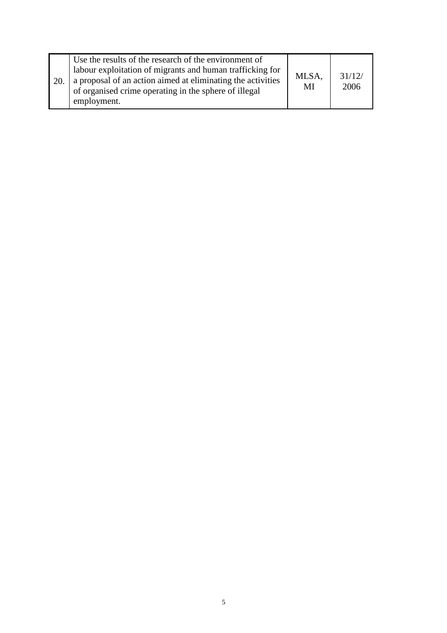| 20. | Use the results of the research of the environment of<br>labour exploitation of migrants and human trafficking for<br>a proposal of an action aimed at eliminating the activities<br>of organised crime operating in the sphere of illegal<br>employment. | MLSA,<br>MI | 31/12/<br>2006 |
|-----|-----------------------------------------------------------------------------------------------------------------------------------------------------------------------------------------------------------------------------------------------------------|-------------|----------------|
|-----|-----------------------------------------------------------------------------------------------------------------------------------------------------------------------------------------------------------------------------------------------------------|-------------|----------------|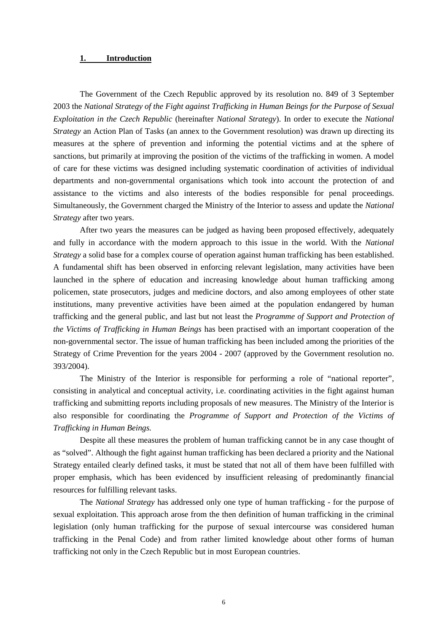#### **1. Introduction**

 The Government of the Czech Republic approved by its resolution no. 849 of 3 September 2003 the *National Strategy of the Fight against Trafficking in Human Beings for the Purpose of Sexual Exploitation in the Czech Republic* (hereinafter *National Strategy*). In order to execute the *National Strategy* an Action Plan of Tasks (an annex to the Government resolution) was drawn up directing its measures at the sphere of prevention and informing the potential victims and at the sphere of sanctions, but primarily at improving the position of the victims of the trafficking in women. A model of care for these victims was designed including systematic coordination of activities of individual departments and non-governmental organisations which took into account the protection of and assistance to the victims and also interests of the bodies responsible for penal proceedings. Simultaneously, the Government charged the Ministry of the Interior to assess and update the *National Strategy* after two years.

 After two years the measures can be judged as having been proposed effectively, adequately and fully in accordance with the modern approach to this issue in the world. With the *National Strategy* a solid base for a complex course of operation against human trafficking has been established. A fundamental shift has been observed in enforcing relevant legislation, many activities have been launched in the sphere of education and increasing knowledge about human trafficking among policemen, state prosecutors, judges and medicine doctors, and also among employees of other state institutions, many preventive activities have been aimed at the population endangered by human trafficking and the general public, and last but not least the *Programme of Support and Protection of the Victims of Trafficking in Human Beings* has been practised with an important cooperation of the non-governmental sector. The issue of human trafficking has been included among the priorities of the Strategy of Crime Prevention for the years 2004 - 2007 (approved by the Government resolution no. 393/2004).

 The Ministry of the Interior is responsible for performing a role of "national reporter", consisting in analytical and conceptual activity, i.e. coordinating activities in the fight against human trafficking and submitting reports including proposals of new measures. The Ministry of the Interior is also responsible for coordinating the *Programme of Support and Protection of the Victims of Trafficking in Human Beings.*

 Despite all these measures the problem of human trafficking cannot be in any case thought of as "solved". Although the fight against human trafficking has been declared a priority and the National Strategy entailed clearly defined tasks, it must be stated that not all of them have been fulfilled with proper emphasis, which has been evidenced by insufficient releasing of predominantly financial resources for fulfilling relevant tasks.

 The *National Strategy* has addressed only one type of human trafficking - for the purpose of sexual exploitation. This approach arose from the then definition of human trafficking in the criminal legislation (only human trafficking for the purpose of sexual intercourse was considered human trafficking in the Penal Code) and from rather limited knowledge about other forms of human trafficking not only in the Czech Republic but in most European countries.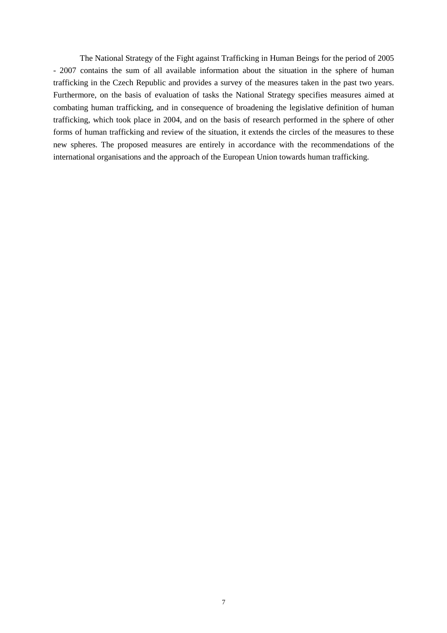The National Strategy of the Fight against Trafficking in Human Beings for the period of 2005 - 2007 contains the sum of all available information about the situation in the sphere of human trafficking in the Czech Republic and provides a survey of the measures taken in the past two years. Furthermore, on the basis of evaluation of tasks the National Strategy specifies measures aimed at combating human trafficking, and in consequence of broadening the legislative definition of human trafficking, which took place in 2004, and on the basis of research performed in the sphere of other forms of human trafficking and review of the situation, it extends the circles of the measures to these new spheres. The proposed measures are entirely in accordance with the recommendations of the international organisations and the approach of the European Union towards human trafficking.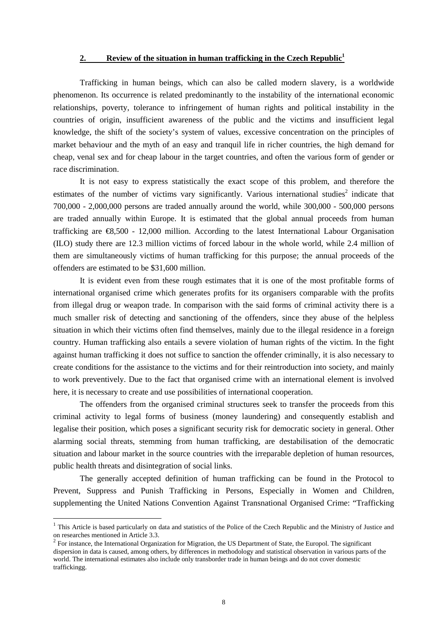#### **2. Review of the situation in human trafficking in the Czech Republic<sup>1</sup>**

Trafficking in human beings, which can also be called modern slavery, is a worldwide phenomenon. Its occurrence is related predominantly to the instability of the international economic relationships, poverty, tolerance to infringement of human rights and political instability in the countries of origin, insufficient awareness of the public and the victims and insufficient legal knowledge, the shift of the society's system of values, excessive concentration on the principles of market behaviour and the myth of an easy and tranquil life in richer countries, the high demand for cheap, venal sex and for cheap labour in the target countries, and often the various form of gender or race discrimination.

It is not easy to express statistically the exact scope of this problem, and therefore the estimates of the number of victims vary significantly. Various international studies<sup>2</sup> indicate that 700,000 - 2,000,000 persons are traded annually around the world, while 300,000 - 500,000 persons are traded annually within Europe. It is estimated that the global annual proceeds from human trafficking are  $\epsilon$ 8,500 - 12,000 million. According to the latest International Labour Organisation (ILO) study there are 12.3 million victims of forced labour in the whole world, while 2.4 million of them are simultaneously victims of human trafficking for this purpose; the annual proceeds of the offenders are estimated to be \$31,600 million.

It is evident even from these rough estimates that it is one of the most profitable forms of international organised crime which generates profits for its organisers comparable with the profits from illegal drug or weapon trade. In comparison with the said forms of criminal activity there is a much smaller risk of detecting and sanctioning of the offenders, since they abuse of the helpless situation in which their victims often find themselves, mainly due to the illegal residence in a foreign country. Human trafficking also entails a severe violation of human rights of the victim. In the fight against human trafficking it does not suffice to sanction the offender criminally, it is also necessary to create conditions for the assistance to the victims and for their reintroduction into society, and mainly to work preventively. Due to the fact that organised crime with an international element is involved here, it is necessary to create and use possibilities of international cooperation.

The offenders from the organised criminal structures seek to transfer the proceeds from this criminal activity to legal forms of business (money laundering) and consequently establish and legalise their position, which poses a significant security risk for democratic society in general. Other alarming social threats, stemming from human trafficking, are destabilisation of the democratic situation and labour market in the source countries with the irreparable depletion of human resources, public health threats and disintegration of social links.

The generally accepted definition of human trafficking can be found in the Protocol to Prevent, Suppress and Punish Trafficking in Persons, Especially in Women and Children, supplementing the United Nations Convention Against Transnational Organised Crime: "Trafficking

<sup>&</sup>lt;sup>1</sup> This Article is based particularly on data and statistics of the Police of the Czech Republic and the Ministry of Justice and on researches mentioned in Article 3.3.

 $2^2$  For instance, the International Organization for Migration, the US Department of State, the Europol. The significant dispersion in data is caused, among others, by differences in methodology and statistical observation in various parts of the world. The international estimates also include only transborder trade in human beings and do not cover domestic traffickingg.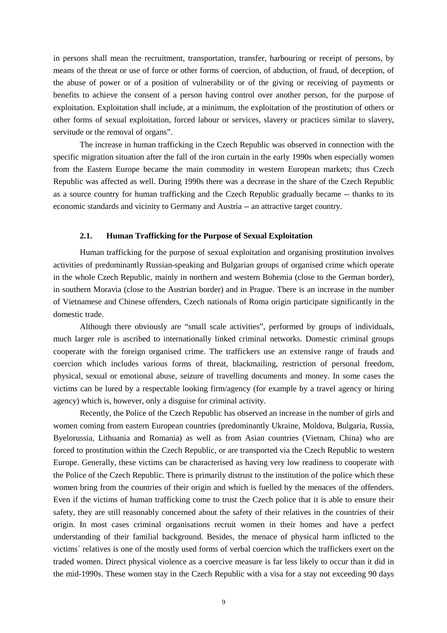in persons shall mean the recruitment, transportation, transfer, harbouring or receipt of persons, by means of the threat or use of force or other forms of coercion, of abduction, of fraud, of deception, of the abuse of power or of a position of vulnerability or of the giving or receiving of payments or benefits to achieve the consent of a person having control over another person, for the purpose of exploitation. Exploitation shall include, at a minimum, the exploitation of the prostitution of others or other forms of sexual exploitation, forced labour or services, slavery or practices similar to slavery, servitude or the removal of organs".

The increase in human trafficking in the Czech Republic was observed in connection with the specific migration situation after the fall of the iron curtain in the early 1990s when especially women from the Eastern Europe became the main commodity in western European markets; thus Czech Republic was affected as well. During 1990s there was a decrease in the share of the Czech Republic as a source country for human trafficking and the Czech Republic gradually became -- thanks to its economic standards and vicinity to Germany and Austria -- an attractive target country.

#### **2.1. Human Trafficking for the Purpose of Sexual Exploitation**

Human trafficking for the purpose of sexual exploitation and organising prostitution involves activities of predominantly Russian-speaking and Bulgarian groups of organised crime which operate in the whole Czech Republic, mainly in northern and western Bohemia (close to the German border), in southern Moravia (close to the Austrian border) and in Prague. There is an increase in the number of Vietnamese and Chinese offenders, Czech nationals of Roma origin participate significantly in the domestic trade.

Although there obviously are "small scale activities", performed by groups of individuals, much larger role is ascribed to internationally linked criminal networks. Domestic criminal groups cooperate with the foreign organised crime. The traffickers use an extensive range of frauds and coercion which includes various forms of threat, blackmailing, restriction of personal freedom, physical, sexual or emotional abuse, seizure of travelling documents and money. In some cases the victims can be lured by a respectable looking firm/agency (for example by a travel agency or hiring agency) which is, however, only a disguise for criminal activity.

Recently, the Police of the Czech Republic has observed an increase in the number of girls and women coming from eastern European countries (predominantly Ukraine, Moldova, Bulgaria, Russia, Byelorussia, Lithuania and Romania) as well as from Asian countries (Vietnam, China) who are forced to prostitution within the Czech Republic, or are transported via the Czech Republic to western Europe. Generally, these victims can be characterised as having very low readiness to cooperate with the Police of the Czech Republic. There is primarily distrust to the institution of the police which these women bring from the countries of their origin and which is fuelled by the menaces of the offenders. Even if the victims of human trafficking come to trust the Czech police that it is able to ensure their safety, they are still reasonably concerned about the safety of their relatives in the countries of their origin. In most cases criminal organisations recruit women in their homes and have a perfect understanding of their familial background. Besides, the menace of physical harm inflicted to the victims´ relatives is one of the mostly used forms of verbal coercion which the traffickers exert on the traded women. Direct physical violence as a coercive measure is far less likely to occur than it did in the mid-1990s. These women stay in the Czech Republic with a visa for a stay not exceeding 90 days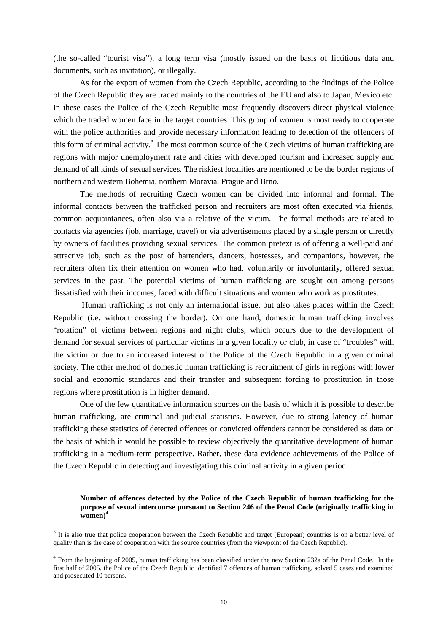(the so-called "tourist visa"), a long term visa (mostly issued on the basis of fictitious data and documents, such as invitation), or illegally.

 As for the export of women from the Czech Republic, according to the findings of the Police of the Czech Republic they are traded mainly to the countries of the EU and also to Japan, Mexico etc. In these cases the Police of the Czech Republic most frequently discovers direct physical violence which the traded women face in the target countries. This group of women is most ready to cooperate with the police authorities and provide necessary information leading to detection of the offenders of this form of criminal activity.<sup>3</sup> The most common source of the Czech victims of human trafficking are regions with major unemployment rate and cities with developed tourism and increased supply and demand of all kinds of sexual services. The riskiest localities are mentioned to be the border regions of northern and western Bohemia, northern Moravia, Prague and Brno.

 The methods of recruiting Czech women can be divided into informal and formal. The informal contacts between the trafficked person and recruiters are most often executed via friends, common acquaintances, often also via a relative of the victim. The formal methods are related to contacts via agencies (job, marriage, travel) or via advertisements placed by a single person or directly by owners of facilities providing sexual services. The common pretext is of offering a well-paid and attractive job, such as the post of bartenders, dancers, hostesses, and companions, however, the recruiters often fix their attention on women who had, voluntarily or involuntarily, offered sexual services in the past. The potential victims of human trafficking are sought out among persons dissatisfied with their incomes, faced with difficult situations and women who work as prostitutes.

 Human trafficking is not only an international issue, but also takes places within the Czech Republic (i.e. without crossing the border). On one hand, domestic human trafficking involves "rotation" of victims between regions and night clubs, which occurs due to the development of demand for sexual services of particular victims in a given locality or club, in case of "troubles" with the victim or due to an increased interest of the Police of the Czech Republic in a given criminal society. The other method of domestic human trafficking is recruitment of girls in regions with lower social and economic standards and their transfer and subsequent forcing to prostitution in those regions where prostitution is in higher demand.

 One of the few quantitative information sources on the basis of which it is possible to describe human trafficking, are criminal and judicial statistics. However, due to strong latency of human trafficking these statistics of detected offences or convicted offenders cannot be considered as data on the basis of which it would be possible to review objectively the quantitative development of human trafficking in a medium-term perspective. Rather, these data evidence achievements of the Police of the Czech Republic in detecting and investigating this criminal activity in a given period.

**Number of offences detected by the Police of the Czech Republic of human trafficking for the purpose of sexual intercourse pursuant to Section 246 of the Penal Code (originally trafficking in**   $w<sub>omen</sub>$ <sup>4</sup>

 $3$  It is also true that police cooperation between the Czech Republic and target (European) countries is on a better level of quality than is the case of cooperation with the source countries (from the viewpoint of the Czech Republic).

<sup>&</sup>lt;sup>4</sup> From the beginning of 2005, human trafficking has been classified under the new Section 232a of the Penal Code. In the first half of 2005, the Police of the Czech Republic identified 7 offences of human trafficking, solved 5 cases and examined and prosecuted 10 persons.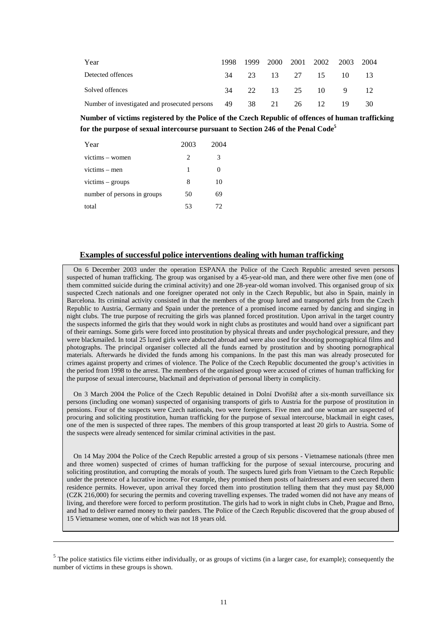| Year                                                         | 1998. |  | 1999 2000 2001 2002 2003 2004 |     |     |
|--------------------------------------------------------------|-------|--|-------------------------------|-----|-----|
| Detected offences                                            | 34    |  | 23 13 27 15 10                |     |     |
| Solved offences                                              | 34    |  | 22 13 25 10 9                 |     |     |
| Number of investigated and prosecuted persons 49 38 21 26 12 |       |  |                               | -19 | -30 |

**Number of victims registered by the Police of the Czech Republic of offences of human trafficking for the purpose of sexual intercourse pursuant to Section 246 of the Penal Code<sup>5</sup>**

| Year                        | 2003 | 2004 |
|-----------------------------|------|------|
| victims – women             | 2    | 3    |
| $victims - men$             | 1    | 0    |
| victims - groups            | 8    | 10   |
| number of persons in groups | 50   | 69   |
| total                       | 53   | 72   |

 $\overline{a}$ 

#### **Examples of successful police interventions dealing with human trafficking**

On 6 December 2003 under the operation ESPANA the Police of the Czech Republic arrested seven persons suspected of human trafficking. The group was organised by a 45-year-old man, and there were other five men (one of them committed suicide during the criminal activity) and one 28-year-old woman involved. This organised group of six suspected Czech nationals and one foreigner operated not only in the Czech Republic, but also in Spain, mainly in Barcelona. Its criminal activity consisted in that the members of the group lured and transported girls from the Czech Republic to Austria, Germany and Spain under the pretence of a promised income earned by dancing and singing in night clubs. The true purpose of recruiting the girls was planned forced prostitution. Upon arrival in the target country the suspects informed the girls that they would work in night clubs as prostitutes and would hand over a significant part of their earnings. Some girls were forced into prostitution by physical threats and under psychological pressure, and they were blackmailed. In total 25 lured girls were abducted abroad and were also used for shooting pornographical films and photographs. The principal organiser collected all the funds earned by prostitution and by shooting pornographical materials. Afterwards he divided the funds among his companions. In the past this man was already prosecuted for crimes against property and crimes of violence. The Police of the Czech Republic documented the group's activities in the period from 1998 to the arrest. The members of the organised group were accused of crimes of human trafficking for the purpose of sexual intercourse, blackmail and deprivation of personal liberty in complicity.

On 3 March 2004 the Police of the Czech Republic detained in Dolní Dvořiště after a six-month surveillance six persons (including one woman) suspected of organising transports of girls to Austria for the purpose of prostitution in pensions. Four of the suspects were Czech nationals, two were foreigners. Five men and one woman are suspected of procuring and soliciting prostitution, human trafficking for the purpose of sexual intercourse, blackmail in eight cases, one of the men is suspected of three rapes. The members of this group transported at least 20 girls to Austria. Some of the suspects were already sentenced for similar criminal activities in the past.

On 14 May 2004 the Police of the Czech Republic arrested a group of six persons - Vietnamese nationals (three men and three women) suspected of crimes of human trafficking for the purpose of sexual intercourse, procuring and soliciting prostitution, and corrupting the morals of youth. The suspects lured girls from Vietnam to the Czech Republic under the pretence of a lucrative income. For example, they promised them posts of hairdressers and even secured them residence permits. However, upon arrival they forced them into prostitution telling them that they must pay \$8,000 (CZK 216,000) for securing the permits and covering travelling expenses. The traded women did not have any means of living, and therefore were forced to perform prostitution. The girls had to work in night clubs in Cheb, Prague and Brno, and had to deliver earned money to their panders. The Police of the Czech Republic discovered that the group abused of 15 Vietnamese women, one of which was not 18 years old.

 $<sup>5</sup>$  The police statistics file victims either individually, or as groups of victims (in a larger case, for example); consequently the</sup> number of victims in these groups is shown.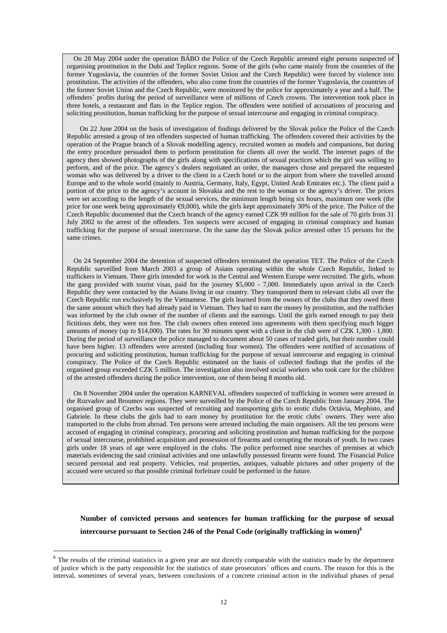On 28 May 2004 under the operation BÁBO the Police of the Czech Republic arrested eight persons suspected of organising prostitution in the Dubí and Teplice regions. Some of the girls (who came mainly from the countries of the former Yugoslavia, the countries of the former Soviet Union and the Czech Republic) were forced by violence into prostitution. The activities of the offenders, who also come from the countries of the former Yugoslavia, the countries of the former Soviet Union and the Czech Republic, were monitored by the police for approximately a year and a half. The offenders´ profits during the period of surveillance were of millions of Czech crowns. The intervention took place in three hotels, a restaurant and flats in the Teplice region. The offenders were notified of accusations of procuring and soliciting prostitution, human trafficking for the purpose of sexual intercourse and engaging in criminal conspiracy.

 On 22 June 2004 on the basis of investigation of findings delivered by the Slovak police the Police of the Czech Republic arrested a group of ten offenders suspected of human trafficking. The offenders covered their activities by the operation of the Prague branch of a Slovak modelling agency, recruited women as models and companions, but during the entry procedure persuaded them to perform prostitution for clients all over the world. The internet pages of the agency then showed photographs of the girls along with specifications of sexual practices which the girl was willing to perform, and of the price. The agency´s dealers negotiated an order, the managers chose and prepared the requested woman who was delivered by a driver to the client in a Czech hotel or to the airport from where she travelled around Europe and to the whole world (mainly to Austria, Germany, Italy, Egypt, United Arab Emirates etc.). The client paid a portion of the price to the agency's account in Slovakia and the rest to the woman or the agency's driver. The prices were set according to the length of the sexual services, the minimum length being six hours, maximum one week (the price for one week being approximately  $\epsilon$ 9,000), while the girls kept approximately 30% of the price. The Police of the Czech Republic documented that the Czech branch of the agency earned CZK 99 million for the sale of 70 girls from 31 July 2002 to the arrest of the offenders. Ten suspects were accused of engaging in criminal conspiracy and human trafficking for the purpose of sexual intercourse. On the same day the Slovak police arrested other 15 persons for the same crimes.

On 24 September 2004 the detention of suspected offenders terminated the operation TET. The Police of the Czech Republic surveilled from March 2003 a group of Asians operating within the whole Czech Republic, linked to traffickers in Vietnam. There girls intended for work in the Central and Western Europe were recruited. The girls, whom the gang provided with tourist visas, paid for the journey \$5,000 - 7,000. Immediately upon arrival in the Czech Republic they were contacted by the Asians living in our country. They transported them to relevant clubs all over the Czech Republic run exclusively by the Vietnamese. The girls learned from the owners of the clubs that they owed them the same amount which they had already paid in Vietnam. They had to earn the money by prostitution, and the trafficker was informed by the club owner of the number of clients and the earnings. Until the girls earned enough to pay their fictitious debt, they were not free. The club owners often entered into agreements with them specifying much bigger amounts of money (up to \$14,000). The rates for 30 minutes spent with a client in the club were of CZK 1,300 - 1,800. During the period of surveillance the police managed to document about 50 cases of traded girls, but their number could have been higher. 13 offenders were arrested (including four women). The offenders were notified of accusations of procuring and soliciting prostitution, human trafficking for the purpose of sexual intercourse and engaging in criminal conspiracy. The Police of the Czech Republic estimated on the basis of collected findings that the profits of the organised group exceeded CZK 5 million. The investigation also involved social workers who took care for the children of the arrested offenders during the police intervention, one of them being 8 months old.

On 8 November 2004 under the operation KARNEVAL offenders suspected of trafficking in women were arrested in the Rozvadov and Broumov regions. They were surveilled by the Police of the Czech Republic from January 2004. The organised group of Czechs was suspected of recruiting and transporting girls to erotic clubs Octávia, Mephisto, and Gabriele. In these clubs the girls had to earn money by prostitution for the erotic clubs' owners. They were also transported to the clubs from abroad. Ten persons were arrested including the main organisers. All the ten persons were accused of engaging in criminal conspiracy, procuring and soliciting prostitution and human trafficking for the purpose of sexual intercourse, prohibited acquisition and possession of firearms and corrupting the morals of youth. In two cases girls under 18 years of age were employed in the clubs. The police performed nine searches of premises at which materials evidencing the said criminal activities and one unlawfully possessed firearm were found. The Financial Police secured personal and real property. Vehicles, real properties, antiques, valuable pictures and other property of the accused were secured so that possible criminal forfeiture could be performed in the future.

# **Number of convicted persons and sentences for human trafficking for the purpose of sexual intercourse pursuant to Section 246 of the Penal Code (originally trafficking in women)<sup>6</sup>**

 $6$  The results of the criminal statistics in a given year are not directly comparable with the statistics made by the department of justice which is the party responsible for the statistics of state prosecutors´ offices and courts. The reason for this is the interval, sometimes of several years, between conclusions of a concrete criminal action in the individual phases of penal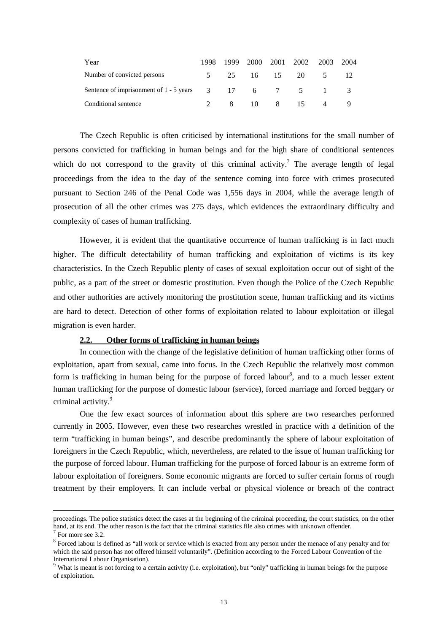| Year                                                                                           | 1998        |  | 1999 2000 2001 2002 | 2003 | 2004 |
|------------------------------------------------------------------------------------------------|-------------|--|---------------------|------|------|
| Number of convicted persons                                                                    | $5^{\circ}$ |  | 25 16 15 20 5 12    |      |      |
| Sentence of imprisonment of $1 - 5$ years $3\qquad 17\qquad 6\qquad 7\qquad 5\qquad 1\qquad 3$ |             |  |                     |      |      |
| Conditional sentence                                                                           |             |  | 2 8 10 8 15 4       |      |      |

 The Czech Republic is often criticised by international institutions for the small number of persons convicted for trafficking in human beings and for the high share of conditional sentences which do not correspond to the gravity of this criminal activity.<sup>7</sup> The average length of legal proceedings from the idea to the day of the sentence coming into force with crimes prosecuted pursuant to Section 246 of the Penal Code was 1,556 days in 2004, while the average length of prosecution of all the other crimes was 275 days, which evidences the extraordinary difficulty and complexity of cases of human trafficking.

However, it is evident that the quantitative occurrence of human trafficking is in fact much higher. The difficult detectability of human trafficking and exploitation of victims is its key characteristics. In the Czech Republic plenty of cases of sexual exploitation occur out of sight of the public, as a part of the street or domestic prostitution. Even though the Police of the Czech Republic and other authorities are actively monitoring the prostitution scene, human trafficking and its victims are hard to detect. Detection of other forms of exploitation related to labour exploitation or illegal migration is even harder.

#### **2.2. Other forms of trafficking in human beings**

 In connection with the change of the legislative definition of human trafficking other forms of exploitation, apart from sexual, came into focus. In the Czech Republic the relatively most common form is trafficking in human being for the purpose of forced labour<sup>8</sup>, and to a much lesser extent human trafficking for the purpose of domestic labour (service), forced marriage and forced beggary or criminal activity.<sup>9</sup>

 One the few exact sources of information about this sphere are two researches performed currently in 2005. However, even these two researches wrestled in practice with a definition of the term "trafficking in human beings", and describe predominantly the sphere of labour exploitation of foreigners in the Czech Republic, which, nevertheless, are related to the issue of human trafficking for the purpose of forced labour. Human trafficking for the purpose of forced labour is an extreme form of labour exploitation of foreigners. Some economic migrants are forced to suffer certain forms of rough treatment by their employers. It can include verbal or physical violence or breach of the contract

proceedings. The police statistics detect the cases at the beginning of the criminal proceeding, the court statistics, on the other hand, at its end. The other reason is the fact that the criminal statistics file also crimes with unknown offender.

 $7$  For more see 3.2.

 $8$  Forced labour is defined as "all work or service which is exacted from any person under the menace of any penalty and for which the said person has not offered himself voluntarily". (Definition according to the Forced Labour Convention of the International Labour Organisation).

<sup>&</sup>lt;sup>9</sup> What is meant is not forcing to a certain activity (i.e. exploitation), but "only" trafficking in human beings for the purpose of exploitation.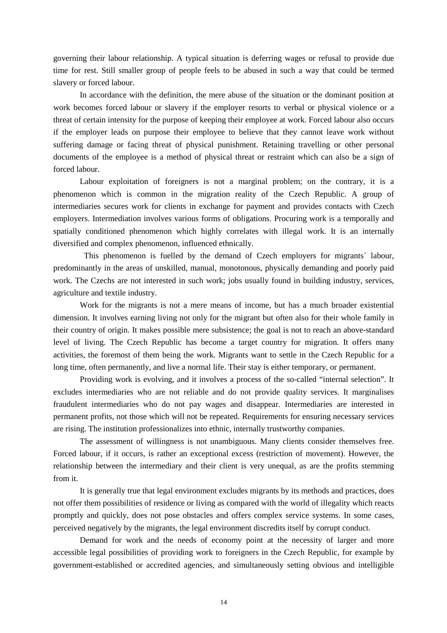governing their labour relationship. A typical situation is deferring wages or refusal to provide due time for rest. Still smaller group of people feels to be abused in such a way that could be termed slavery or forced labour.

In accordance with the definition, the mere abuse of the situation or the dominant position at work becomes forced labour or slavery if the employer resorts to verbal or physical violence or a threat of certain intensity for the purpose of keeping their employee at work. Forced labour also occurs if the employer leads on purpose their employee to believe that they cannot leave work without suffering damage or facing threat of physical punishment. Retaining travelling or other personal documents of the employee is a method of physical threat or restraint which can also be a sign of forced labour.

Labour exploitation of foreigners is not a marginal problem; on the contrary, it is a phenomenon which is common in the migration reality of the Czech Republic. A group of intermediaries secures work for clients in exchange for payment and provides contacts with Czech employers. Intermediation involves various forms of obligations. Procuring work is a temporally and spatially conditioned phenomenon which highly correlates with illegal work. It is an internally diversified and complex phenomenon, influenced ethnically.

 This phenomenon is fuelled by the demand of Czech employers for migrants´ labour, predominantly in the areas of unskilled, manual, monotonous, physically demanding and poorly paid work. The Czechs are not interested in such work; jobs usually found in building industry, services, agriculture and textile industry.

Work for the migrants is not a mere means of income, but has a much broader existential dimension. It involves earning living not only for the migrant but often also for their whole family in their country of origin. It makes possible mere subsistence; the goal is not to reach an above-standard level of living. The Czech Republic has become a target country for migration. It offers many activities, the foremost of them being the work. Migrants want to settle in the Czech Republic for a long time, often permanently, and live a normal life. Their stay is either temporary, or permanent.

Providing work is evolving, and it involves a process of the so-called "internal selection". It excludes intermediaries who are not reliable and do not provide quality services. It marginalises fraudulent intermediaries who do not pay wages and disappear. Intermediaries are interested in permanent profits, not those which will not be repeated. Requirements for ensuring necessary services are rising. The institution professionalizes into ethnic, internally trustworthy companies.

The assessment of willingness is not unambiguous. Many clients consider themselves free. Forced labour, if it occurs, is rather an exceptional excess (restriction of movement). However, the relationship between the intermediary and their client is very unequal, as are the profits stemming from it.

It is generally true that legal environment excludes migrants by its methods and practices, does not offer them possibilities of residence or living as compared with the world of illegality which reacts promptly and quickly, does not pose obstacles and offers complex service systems. In some cases, perceived negatively by the migrants, the legal environment discredits itself by corrupt conduct.

Demand for work and the needs of economy point at the necessity of larger and more accessible legal possibilities of providing work to foreigners in the Czech Republic, for example by government-established or accredited agencies, and simultaneously setting obvious and intelligible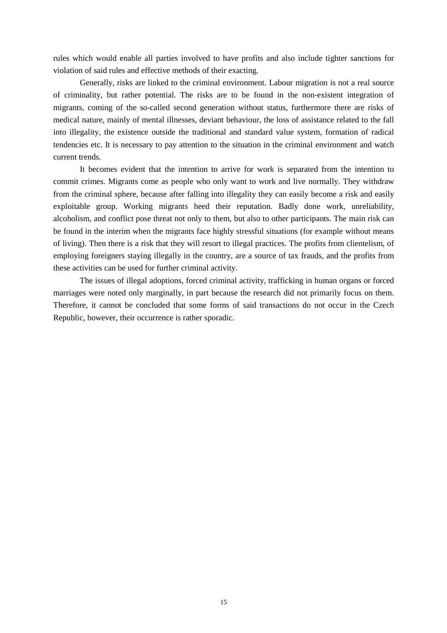rules which would enable all parties involved to have profits and also include tighter sanctions for violation of said rules and effective methods of their exacting.

Generally, risks are linked to the criminal environment. Labour migration is not a real source of criminality, but rather potential. The risks are to be found in the non-existent integration of migrants, coming of the so-called second generation without status, furthermore there are risks of medical nature, mainly of mental illnesses, deviant behaviour, the loss of assistance related to the fall into illegality, the existence outside the traditional and standard value system, formation of radical tendencies etc. It is necessary to pay attention to the situation in the criminal environment and watch current trends.

 It becomes evident that the intention to arrive for work is separated from the intention to commit crimes. Migrants come as people who only want to work and live normally. They withdraw from the criminal sphere, because after falling into illegality they can easily become a risk and easily exploitable group. Working migrants heed their reputation. Badly done work, unreliability, alcoholism, and conflict pose threat not only to them, but also to other participants. The main risk can be found in the interim when the migrants face highly stressful situations (for example without means of living). Then there is a risk that they will resort to illegal practices. The profits from clientelism, of employing foreigners staying illegally in the country, are a source of tax frauds, and the profits from these activities can be used for further criminal activity.

The issues of illegal adoptions, forced criminal activity, trafficking in human organs or forced marriages were noted only marginally, in part because the research did not primarily focus on them. Therefore, it cannot be concluded that some forms of said transactions do not occur in the Czech Republic, however, their occurrence is rather sporadic.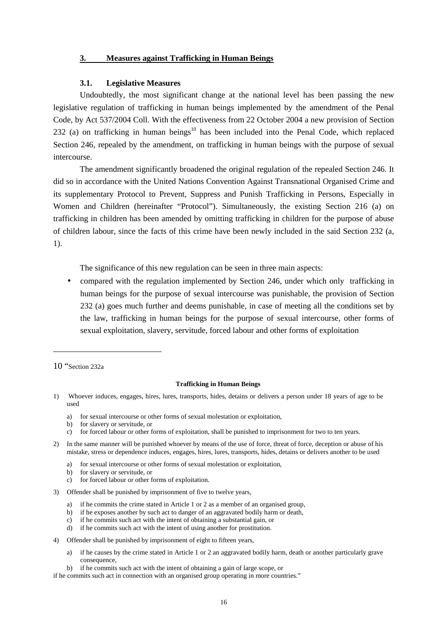#### **3. Measures against Trafficking in Human Beings**

#### **3.1. Legislative Measures**

Undoubtedly, the most significant change at the national level has been passing the new legislative regulation of trafficking in human beings implemented by the amendment of the Penal Code, by Act 537/2004 Coll. With the effectiveness from 22 October 2004 a new provision of Section  $232$  (a) on trafficking in human beings<sup>10</sup> has been included into the Penal Code, which replaced Section 246, repealed by the amendment, on trafficking in human beings with the purpose of sexual intercourse.

The amendment significantly broadened the original regulation of the repealed Section 246. It did so in accordance with the United Nations Convention Against Transnational Organised Crime and its supplementary Protocol to Prevent, Suppress and Punish Trafficking in Persons, Especially in Women and Children (hereinafter "Protocol"). Simultaneously, the existing Section 216 (a) on trafficking in children has been amended by omitting trafficking in children for the purpose of abuse of children labour, since the facts of this crime have been newly included in the said Section 232 (a, 1).

The significance of this new regulation can be seen in three main aspects:

• compared with the regulation implemented by Section 246, under which only trafficking in human beings for the purpose of sexual intercourse was punishable, the provision of Section 232 (a) goes much further and deems punishable, in case of meeting all the conditions set by the law, trafficking in human beings for the purpose of sexual intercourse, other forms of sexual exploitation, slavery, servitude, forced labour and other forms of exploitation

10 "Section 232a

 $\overline{a}$ 

#### **Trafficking in Human Beings**

- 1) Whoever induces, engages, hires, lures, transports, hides, detains or delivers a person under 18 years of age to be used
	- a) for sexual intercourse or other forms of sexual molestation or exploitation,
	- b) for slavery or servitude, or
	- c) for forced labour or other forms of exploitation, shall be punished to imprisonment for two to ten years.
- 2) In the same manner will be punished whoever by means of the use of force, threat of force, deception or abuse of his mistake, stress or dependence induces, engages, hires, lures, transports, hides, detains or delivers another to be used
	- a) for sexual intercourse or other forms of sexual molestation or exploitation,
	- b) for slavery or servitude, or
	- c) for forced labour or other forms of exploitation.
- 3) Offender shall be punished by imprisonment of five to twelve years,
	- a) if he commits the crime stated in Article 1 or 2 as a member of an organised group,
	- b) if he exposes another by such act to danger of an aggravated bodily harm or death,
	- c) if he commits such act with the intent of obtaining a substantial gain, or
	- d) if he commits such act with the intent of using another for prostitution.
- 4) Offender shall be punished by imprisonment of eight to fifteen years,
	- a) if he causes by the crime stated in Article 1 or 2 an aggravated bodily harm, death or another particularly grave consequence,
	- b) if he commits such act with the intent of obtaining a gain of large scope, or

if he commits such act in connection with an organised group operating in more countries."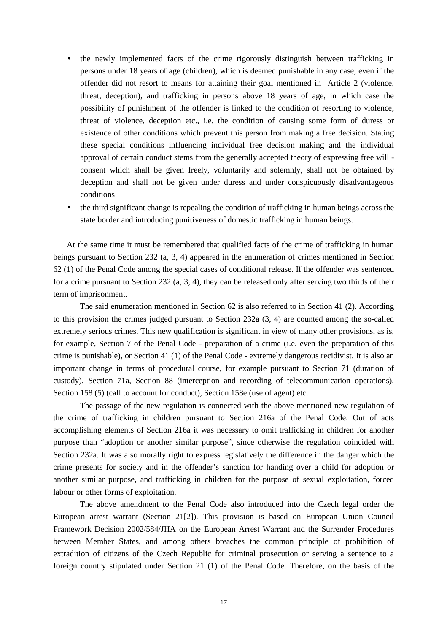- the newly implemented facts of the crime rigorously distinguish between trafficking in persons under 18 years of age (children), which is deemed punishable in any case, even if the offender did not resort to means for attaining their goal mentioned in Article 2 (violence, threat, deception), and trafficking in persons above 18 years of age, in which case the possibility of punishment of the offender is linked to the condition of resorting to violence, threat of violence, deception etc., i.e. the condition of causing some form of duress or existence of other conditions which prevent this person from making a free decision. Stating these special conditions influencing individual free decision making and the individual approval of certain conduct stems from the generally accepted theory of expressing free will consent which shall be given freely, voluntarily and solemnly, shall not be obtained by deception and shall not be given under duress and under conspicuously disadvantageous conditions
- the third significant change is repealing the condition of trafficking in human beings across the state border and introducing punitiveness of domestic trafficking in human beings.

At the same time it must be remembered that qualified facts of the crime of trafficking in human beings pursuant to Section 232 (a, 3, 4) appeared in the enumeration of crimes mentioned in Section 62 (1) of the Penal Code among the special cases of conditional release. If the offender was sentenced for a crime pursuant to Section 232 (a, 3, 4), they can be released only after serving two thirds of their term of imprisonment.

The said enumeration mentioned in Section 62 is also referred to in Section 41 (2). According to this provision the crimes judged pursuant to Section 232a (3, 4) are counted among the so-called extremely serious crimes. This new qualification is significant in view of many other provisions, as is, for example, Section 7 of the Penal Code - preparation of a crime (i.e. even the preparation of this crime is punishable), or Section 41 (1) of the Penal Code - extremely dangerous recidivist. It is also an important change in terms of procedural course, for example pursuant to Section 71 (duration of custody), Section 71a, Section 88 (interception and recording of telecommunication operations), Section 158 (5) (call to account for conduct), Section 158e (use of agent) etc.

The passage of the new regulation is connected with the above mentioned new regulation of the crime of trafficking in children pursuant to Section 216a of the Penal Code. Out of acts accomplishing elements of Section 216a it was necessary to omit trafficking in children for another purpose than "adoption or another similar purpose", since otherwise the regulation coincided with Section 232a. It was also morally right to express legislatively the difference in the danger which the crime presents for society and in the offender's sanction for handing over a child for adoption or another similar purpose, and trafficking in children for the purpose of sexual exploitation, forced labour or other forms of exploitation.

 The above amendment to the Penal Code also introduced into the Czech legal order the European arrest warrant (Section 21[2]). This provision is based on European Union Council Framework Decision 2002/584/JHA on the European Arrest Warrant and the Surrender Procedures between Member States, and among others breaches the common principle of prohibition of extradition of citizens of the Czech Republic for criminal prosecution or serving a sentence to a foreign country stipulated under Section 21 (1) of the Penal Code. Therefore, on the basis of the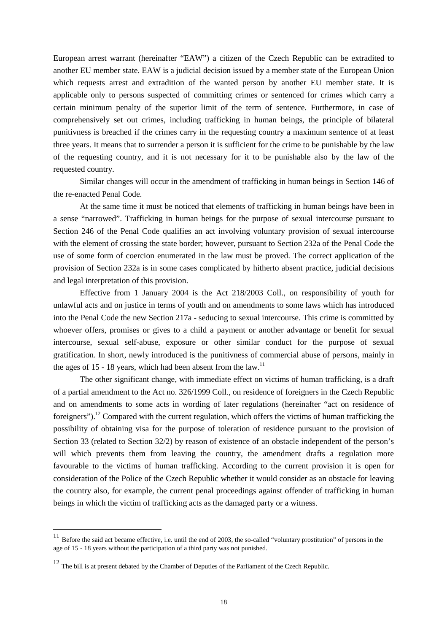European arrest warrant (hereinafter "EAW") a citizen of the Czech Republic can be extradited to another EU member state. EAW is a judicial decision issued by a member state of the European Union which requests arrest and extradition of the wanted person by another EU member state. It is applicable only to persons suspected of committing crimes or sentenced for crimes which carry a certain minimum penalty of the superior limit of the term of sentence. Furthermore, in case of comprehensively set out crimes, including trafficking in human beings, the principle of bilateral punitivness is breached if the crimes carry in the requesting country a maximum sentence of at least three years. It means that to surrender a person it is sufficient for the crime to be punishable by the law of the requesting country, and it is not necessary for it to be punishable also by the law of the requested country.

 Similar changes will occur in the amendment of trafficking in human beings in Section 146 of the re-enacted Penal Code.

 At the same time it must be noticed that elements of trafficking in human beings have been in a sense "narrowed". Trafficking in human beings for the purpose of sexual intercourse pursuant to Section 246 of the Penal Code qualifies an act involving voluntary provision of sexual intercourse with the element of crossing the state border; however, pursuant to Section 232a of the Penal Code the use of some form of coercion enumerated in the law must be proved. The correct application of the provision of Section 232a is in some cases complicated by hitherto absent practice, judicial decisions and legal interpretation of this provision.

 Effective from 1 January 2004 is the Act 218/2003 Coll., on responsibility of youth for unlawful acts and on justice in terms of youth and on amendments to some laws which has introduced into the Penal Code the new Section 217a - seducing to sexual intercourse. This crime is committed by whoever offers, promises or gives to a child a payment or another advantage or benefit for sexual intercourse, sexual self-abuse, exposure or other similar conduct for the purpose of sexual gratification. In short, newly introduced is the punitivness of commercial abuse of persons, mainly in the ages of 15 - 18 years, which had been absent from the law.<sup>11</sup>

 The other significant change, with immediate effect on victims of human trafficking, is a draft of a partial amendment to the Act no. 326/1999 Coll., on residence of foreigners in the Czech Republic and on amendments to some acts in wording of later regulations (hereinafter "act on residence of foreigners").<sup>12</sup> Compared with the current regulation, which offers the victims of human trafficking the possibility of obtaining visa for the purpose of toleration of residence pursuant to the provision of Section 33 (related to Section 32/2) by reason of existence of an obstacle independent of the person's will which prevents them from leaving the country, the amendment drafts a regulation more favourable to the victims of human trafficking. According to the current provision it is open for consideration of the Police of the Czech Republic whether it would consider as an obstacle for leaving the country also, for example, the current penal proceedings against offender of trafficking in human beings in which the victim of trafficking acts as the damaged party or a witness.

<sup>&</sup>lt;sup>11</sup> Before the said act became effective, i.e. until the end of 2003, the so-called "voluntary prostitution" of persons in the age of 15 - 18 years without the participation of a third party was not punished.

<sup>&</sup>lt;sup>12</sup> The bill is at present debated by the Chamber of Deputies of the Parliament of the Czech Republic.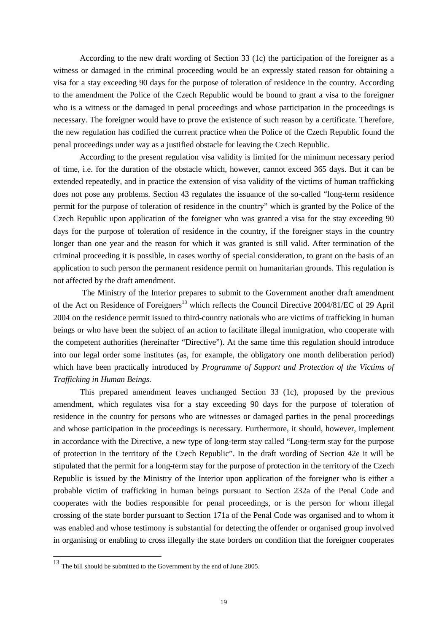According to the new draft wording of Section 33 (1c) the participation of the foreigner as a witness or damaged in the criminal proceeding would be an expressly stated reason for obtaining a visa for a stay exceeding 90 days for the purpose of toleration of residence in the country. According to the amendment the Police of the Czech Republic would be bound to grant a visa to the foreigner who is a witness or the damaged in penal proceedings and whose participation in the proceedings is necessary. The foreigner would have to prove the existence of such reason by a certificate. Therefore, the new regulation has codified the current practice when the Police of the Czech Republic found the penal proceedings under way as a justified obstacle for leaving the Czech Republic.

According to the present regulation visa validity is limited for the minimum necessary period of time, i.e. for the duration of the obstacle which, however, cannot exceed 365 days. But it can be extended repeatedly, and in practice the extension of visa validity of the victims of human trafficking does not pose any problems. Section 43 regulates the issuance of the so-called "long-term residence permit for the purpose of toleration of residence in the country" which is granted by the Police of the Czech Republic upon application of the foreigner who was granted a visa for the stay exceeding 90 days for the purpose of toleration of residence in the country, if the foreigner stays in the country longer than one year and the reason for which it was granted is still valid. After termination of the criminal proceeding it is possible, in cases worthy of special consideration, to grant on the basis of an application to such person the permanent residence permit on humanitarian grounds. This regulation is not affected by the draft amendment.

 The Ministry of the Interior prepares to submit to the Government another draft amendment of the Act on Residence of Foreigners<sup>13</sup> which reflects the Council Directive 2004/81/EC of 29 April 2004 on the residence permit issued to third-country nationals who are victims of trafficking in human beings or who have been the subject of an action to facilitate illegal immigration, who cooperate with the competent authorities (hereinafter "Directive"). At the same time this regulation should introduce into our legal order some institutes (as, for example, the obligatory one month deliberation period) which have been practically introduced by *Programme of Support and Protection of the Victims of Trafficking in Human Beings.*

This prepared amendment leaves unchanged Section 33 (1c), proposed by the previous amendment, which regulates visa for a stay exceeding 90 days for the purpose of toleration of residence in the country for persons who are witnesses or damaged parties in the penal proceedings and whose participation in the proceedings is necessary. Furthermore, it should, however, implement in accordance with the Directive, a new type of long-term stay called "Long-term stay for the purpose of protection in the territory of the Czech Republic". In the draft wording of Section 42e it will be stipulated that the permit for a long-term stay for the purpose of protection in the territory of the Czech Republic is issued by the Ministry of the Interior upon application of the foreigner who is either a probable victim of trafficking in human beings pursuant to Section 232a of the Penal Code and cooperates with the bodies responsible for penal proceedings, or is the person for whom illegal crossing of the state border pursuant to Section 171a of the Penal Code was organised and to whom it was enabled and whose testimony is substantial for detecting the offender or organised group involved in organising or enabling to cross illegally the state borders on condition that the foreigner cooperates

<sup>13</sup> The bill should be submitted to the Government by the end of June 2005.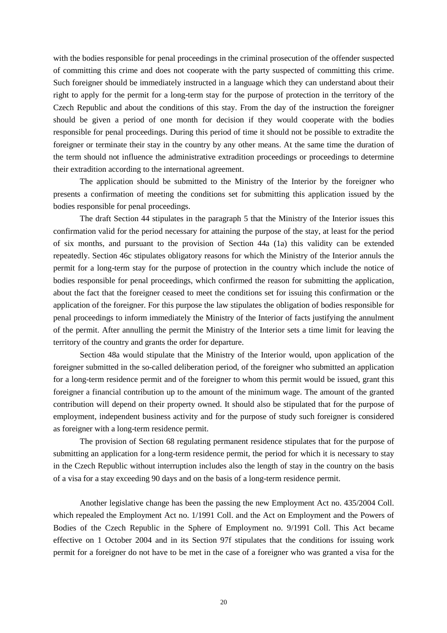with the bodies responsible for penal proceedings in the criminal prosecution of the offender suspected of committing this crime and does not cooperate with the party suspected of committing this crime. Such foreigner should be immediately instructed in a language which they can understand about their right to apply for the permit for a long-term stay for the purpose of protection in the territory of the Czech Republic and about the conditions of this stay. From the day of the instruction the foreigner should be given a period of one month for decision if they would cooperate with the bodies responsible for penal proceedings. During this period of time it should not be possible to extradite the foreigner or terminate their stay in the country by any other means. At the same time the duration of the term should not influence the administrative extradition proceedings or proceedings to determine their extradition according to the international agreement.

The application should be submitted to the Ministry of the Interior by the foreigner who presents a confirmation of meeting the conditions set for submitting this application issued by the bodies responsible for penal proceedings.

The draft Section 44 stipulates in the paragraph 5 that the Ministry of the Interior issues this confirmation valid for the period necessary for attaining the purpose of the stay, at least for the period of six months, and pursuant to the provision of Section 44a (1a) this validity can be extended repeatedly. Section 46c stipulates obligatory reasons for which the Ministry of the Interior annuls the permit for a long-term stay for the purpose of protection in the country which include the notice of bodies responsible for penal proceedings, which confirmed the reason for submitting the application, about the fact that the foreigner ceased to meet the conditions set for issuing this confirmation or the application of the foreigner. For this purpose the law stipulates the obligation of bodies responsible for penal proceedings to inform immediately the Ministry of the Interior of facts justifying the annulment of the permit. After annulling the permit the Ministry of the Interior sets a time limit for leaving the territory of the country and grants the order for departure.

Section 48a would stipulate that the Ministry of the Interior would, upon application of the foreigner submitted in the so-called deliberation period, of the foreigner who submitted an application for a long-term residence permit and of the foreigner to whom this permit would be issued, grant this foreigner a financial contribution up to the amount of the minimum wage. The amount of the granted contribution will depend on their property owned. It should also be stipulated that for the purpose of employment, independent business activity and for the purpose of study such foreigner is considered as foreigner with a long-term residence permit.

The provision of Section 68 regulating permanent residence stipulates that for the purpose of submitting an application for a long-term residence permit, the period for which it is necessary to stay in the Czech Republic without interruption includes also the length of stay in the country on the basis of a visa for a stay exceeding 90 days and on the basis of a long-term residence permit.

Another legislative change has been the passing the new Employment Act no. 435/2004 Coll. which repealed the Employment Act no. 1/1991 Coll. and the Act on Employment and the Powers of Bodies of the Czech Republic in the Sphere of Employment no. 9/1991 Coll. This Act became effective on 1 October 2004 and in its Section 97f stipulates that the conditions for issuing work permit for a foreigner do not have to be met in the case of a foreigner who was granted a visa for the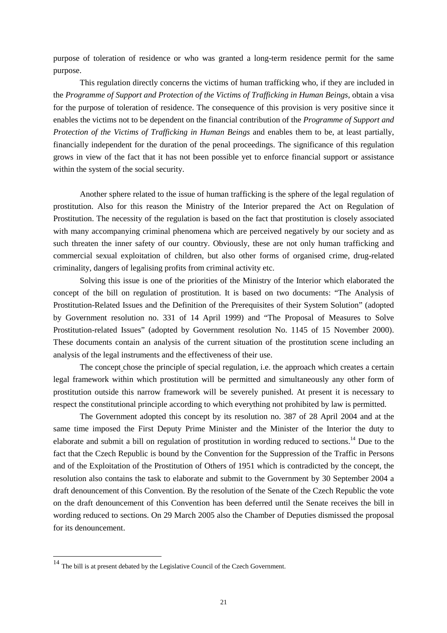purpose of toleration of residence or who was granted a long-term residence permit for the same purpose.

This regulation directly concerns the victims of human trafficking who, if they are included in the *Programme of Support and Protection of the Victims of Trafficking in Human Beings*, obtain a visa for the purpose of toleration of residence. The consequence of this provision is very positive since it enables the victims not to be dependent on the financial contribution of the *Programme of Support and Protection of the Victims of Trafficking in Human Beings* and enables them to be, at least partially, financially independent for the duration of the penal proceedings. The significance of this regulation grows in view of the fact that it has not been possible yet to enforce financial support or assistance within the system of the social security.

 Another sphere related to the issue of human trafficking is the sphere of the legal regulation of prostitution. Also for this reason the Ministry of the Interior prepared the Act on Regulation of Prostitution. The necessity of the regulation is based on the fact that prostitution is closely associated with many accompanying criminal phenomena which are perceived negatively by our society and as such threaten the inner safety of our country. Obviously, these are not only human trafficking and commercial sexual exploitation of children, but also other forms of organised crime, drug-related criminality, dangers of legalising profits from criminal activity etc.

Solving this issue is one of the priorities of the Ministry of the Interior which elaborated the concept of the bill on regulation of prostitution. It is based on two documents: "The Analysis of Prostitution-Related Issues and the Definition of the Prerequisites of their System Solution" (adopted by Government resolution no. 331 of 14 April 1999) and "The Proposal of Measures to Solve Prostitution-related Issues" (adopted by Government resolution No. 1145 of 15 November 2000). These documents contain an analysis of the current situation of the prostitution scene including an analysis of the legal instruments and the effectiveness of their use.

The concept chose the principle of special regulation, i.e. the approach which creates a certain legal framework within which prostitution will be permitted and simultaneously any other form of prostitution outside this narrow framework will be severely punished. At present it is necessary to respect the constitutional principle according to which everything not prohibited by law is permitted.

The Government adopted this concept by its resolution no. 387 of 28 April 2004 and at the same time imposed the First Deputy Prime Minister and the Minister of the Interior the duty to elaborate and submit a bill on regulation of prostitution in wording reduced to sections.<sup>14</sup> Due to the fact that the Czech Republic is bound by the Convention for the Suppression of the Traffic in Persons and of the Exploitation of the Prostitution of Others of 1951 which is contradicted by the concept, the resolution also contains the task to elaborate and submit to the Government by 30 September 2004 a draft denouncement of this Convention. By the resolution of the Senate of the Czech Republic the vote on the draft denouncement of this Convention has been deferred until the Senate receives the bill in wording reduced to sections. On 29 March 2005 also the Chamber of Deputies dismissed the proposal for its denouncement.

 $14$  The bill is at present debated by the Legislative Council of the Czech Government.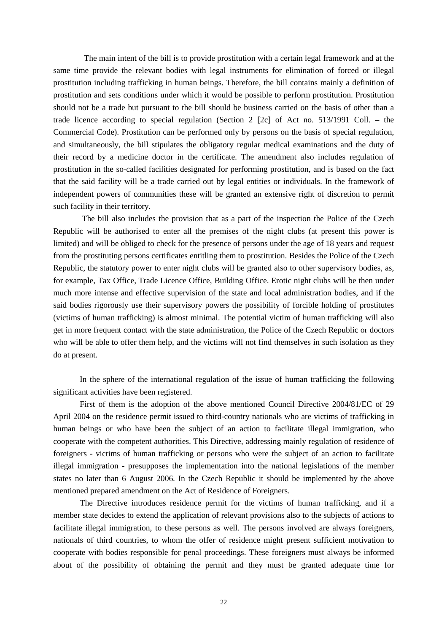The main intent of the bill is to provide prostitution with a certain legal framework and at the same time provide the relevant bodies with legal instruments for elimination of forced or illegal prostitution including trafficking in human beings. Therefore, the bill contains mainly a definition of prostitution and sets conditions under which it would be possible to perform prostitution. Prostitution should not be a trade but pursuant to the bill should be business carried on the basis of other than a trade licence according to special regulation (Section 2 [2c] of Act no. 513/1991 Coll. – the Commercial Code). Prostitution can be performed only by persons on the basis of special regulation, and simultaneously, the bill stipulates the obligatory regular medical examinations and the duty of their record by a medicine doctor in the certificate. The amendment also includes regulation of prostitution in the so-called facilities designated for performing prostitution, and is based on the fact that the said facility will be a trade carried out by legal entities or individuals. In the framework of independent powers of communities these will be granted an extensive right of discretion to permit such facility in their territory.

 The bill also includes the provision that as a part of the inspection the Police of the Czech Republic will be authorised to enter all the premises of the night clubs (at present this power is limited) and will be obliged to check for the presence of persons under the age of 18 years and request from the prostituting persons certificates entitling them to prostitution. Besides the Police of the Czech Republic, the statutory power to enter night clubs will be granted also to other supervisory bodies, as, for example, Tax Office, Trade Licence Office, Building Office. Erotic night clubs will be then under much more intense and effective supervision of the state and local administration bodies, and if the said bodies rigorously use their supervisory powers the possibility of forcible holding of prostitutes (victims of human trafficking) is almost minimal. The potential victim of human trafficking will also get in more frequent contact with the state administration, the Police of the Czech Republic or doctors who will be able to offer them help, and the victims will not find themselves in such isolation as they do at present.

 In the sphere of the international regulation of the issue of human trafficking the following significant activities have been registered.

 First of them is the adoption of the above mentioned Council Directive 2004/81/EC of 29 April 2004 on the residence permit issued to third-country nationals who are victims of trafficking in human beings or who have been the subject of an action to facilitate illegal immigration, who cooperate with the competent authorities. This Directive, addressing mainly regulation of residence of foreigners - victims of human trafficking or persons who were the subject of an action to facilitate illegal immigration - presupposes the implementation into the national legislations of the member states no later than 6 August 2006. In the Czech Republic it should be implemented by the above mentioned prepared amendment on the Act of Residence of Foreigners.

The Directive introduces residence permit for the victims of human trafficking, and if a member state decides to extend the application of relevant provisions also to the subjects of actions to facilitate illegal immigration, to these persons as well. The persons involved are always foreigners, nationals of third countries, to whom the offer of residence might present sufficient motivation to cooperate with bodies responsible for penal proceedings. These foreigners must always be informed about of the possibility of obtaining the permit and they must be granted adequate time for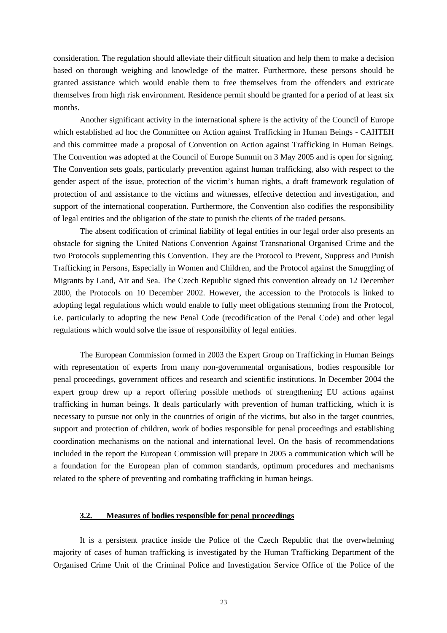consideration. The regulation should alleviate their difficult situation and help them to make a decision based on thorough weighing and knowledge of the matter. Furthermore, these persons should be granted assistance which would enable them to free themselves from the offenders and extricate themselves from high risk environment. Residence permit should be granted for a period of at least six months.

 Another significant activity in the international sphere is the activity of the Council of Europe which established ad hoc the Committee on Action against Trafficking in Human Beings - CAHTEH and this committee made a proposal of Convention on Action against Trafficking in Human Beings. The Convention was adopted at the Council of Europe Summit on 3 May 2005 and is open for signing. The Convention sets goals, particularly prevention against human trafficking, also with respect to the gender aspect of the issue, protection of the victim's human rights, a draft framework regulation of protection of and assistance to the victims and witnesses, effective detection and investigation, and support of the international cooperation. Furthermore, the Convention also codifies the responsibility of legal entities and the obligation of the state to punish the clients of the traded persons.

 The absent codification of criminal liability of legal entities in our legal order also presents an obstacle for signing the United Nations Convention Against Transnational Organised Crime and the two Protocols supplementing this Convention. They are the Protocol to Prevent, Suppress and Punish Trafficking in Persons, Especially in Women and Children, and the Protocol against the Smuggling of Migrants by Land, Air and Sea. The Czech Republic signed this convention already on 12 December 2000, the Protocols on 10 December 2002. However, the accession to the Protocols is linked to adopting legal regulations which would enable to fully meet obligations stemming from the Protocol, i.e. particularly to adopting the new Penal Code (recodification of the Penal Code) and other legal regulations which would solve the issue of responsibility of legal entities.

 The European Commission formed in 2003 the Expert Group on Trafficking in Human Beings with representation of experts from many non-governmental organisations, bodies responsible for penal proceedings, government offices and research and scientific institutions. In December 2004 the expert group drew up a report offering possible methods of strengthening EU actions against trafficking in human beings. It deals particularly with prevention of human trafficking, which it is necessary to pursue not only in the countries of origin of the victims, but also in the target countries, support and protection of children, work of bodies responsible for penal proceedings and establishing coordination mechanisms on the national and international level. On the basis of recommendations included in the report the European Commission will prepare in 2005 a communication which will be a foundation for the European plan of common standards, optimum procedures and mechanisms related to the sphere of preventing and combating trafficking in human beings.

#### **3.2. Measures of bodies responsible for penal proceedings**

It is a persistent practice inside the Police of the Czech Republic that the overwhelming majority of cases of human trafficking is investigated by the Human Trafficking Department of the Organised Crime Unit of the Criminal Police and Investigation Service Office of the Police of the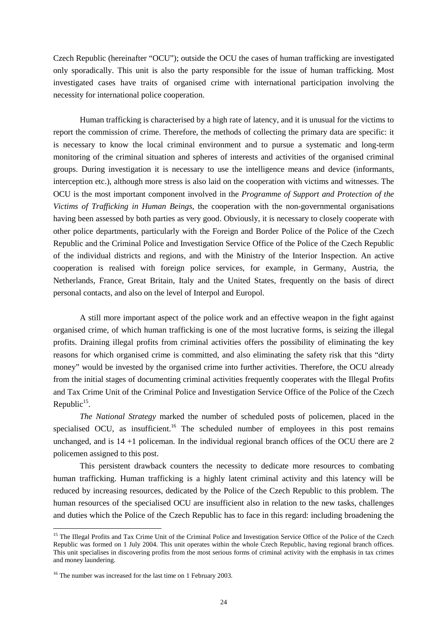Czech Republic (hereinafter "OCU"); outside the OCU the cases of human trafficking are investigated only sporadically. This unit is also the party responsible for the issue of human trafficking. Most investigated cases have traits of organised crime with international participation involving the necessity for international police cooperation.

Human trafficking is characterised by a high rate of latency, and it is unusual for the victims to report the commission of crime. Therefore, the methods of collecting the primary data are specific: it is necessary to know the local criminal environment and to pursue a systematic and long-term monitoring of the criminal situation and spheres of interests and activities of the organised criminal groups. During investigation it is necessary to use the intelligence means and device (informants, interception etc.), although more stress is also laid on the cooperation with victims and witnesses. The OCU is the most important component involved in the *Programme of Support and Protection of the Victims of Trafficking in Human Beings*, the cooperation with the non-governmental organisations having been assessed by both parties as very good. Obviously, it is necessary to closely cooperate with other police departments, particularly with the Foreign and Border Police of the Police of the Czech Republic and the Criminal Police and Investigation Service Office of the Police of the Czech Republic of the individual districts and regions, and with the Ministry of the Interior Inspection. An active cooperation is realised with foreign police services, for example, in Germany, Austria, the Netherlands, France, Great Britain, Italy and the United States, frequently on the basis of direct personal contacts, and also on the level of Interpol and Europol.

A still more important aspect of the police work and an effective weapon in the fight against organised crime, of which human trafficking is one of the most lucrative forms, is seizing the illegal profits. Draining illegal profits from criminal activities offers the possibility of eliminating the key reasons for which organised crime is committed, and also eliminating the safety risk that this "dirty money" would be invested by the organised crime into further activities. Therefore, the OCU already from the initial stages of documenting criminal activities frequently cooperates with the Illegal Profits and Tax Crime Unit of the Criminal Police and Investigation Service Office of the Police of the Czech Republic<sup>15</sup>.

*The National Strategy* marked the number of scheduled posts of policemen, placed in the specialised OCU, as insufficient.<sup>16</sup> The scheduled number of employees in this post remains unchanged, and is 14 +1 policeman. In the individual regional branch offices of the OCU there are 2 policemen assigned to this post.

This persistent drawback counters the necessity to dedicate more resources to combating human trafficking. Human trafficking is a highly latent criminal activity and this latency will be reduced by increasing resources, dedicated by the Police of the Czech Republic to this problem. The human resources of the specialised OCU are insufficient also in relation to the new tasks, challenges and duties which the Police of the Czech Republic has to face in this regard: including broadening the

<sup>&</sup>lt;sup>15</sup> The Illegal Profits and Tax Crime Unit of the Criminal Police and Investigation Service Office of the Police of the Czech Republic was formed on 1 July 2004. This unit operates within the whole Czech Republic, having regional branch offices. This unit specialises in discovering profits from the most serious forms of criminal activity with the emphasis in tax crimes and money laundering.

<sup>&</sup>lt;sup>16</sup> The number was increased for the last time on 1 February 2003.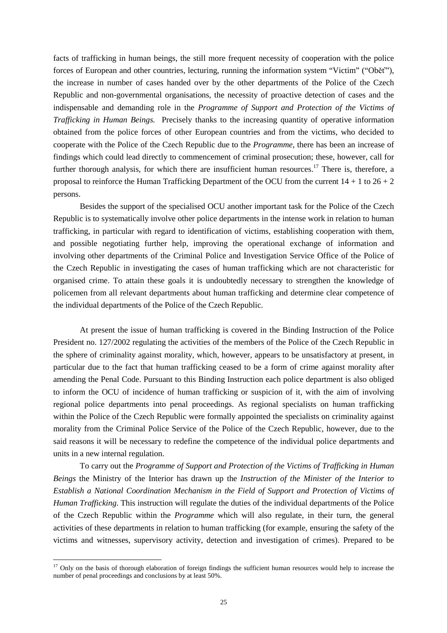facts of trafficking in human beings, the still more frequent necessity of cooperation with the police forces of European and other countries, lecturing, running the information system "Victim" ("Oběť"), the increase in number of cases handed over by the other departments of the Police of the Czech Republic and non-governmental organisations, the necessity of proactive detection of cases and the indispensable and demanding role in the *Programme of Support and Protection of the Victims of Trafficking in Human Beings.* Precisely thanks to the increasing quantity of operative information obtained from the police forces of other European countries and from the victims, who decided to cooperate with the Police of the Czech Republic due to the *Programme*, there has been an increase of findings which could lead directly to commencement of criminal prosecution; these, however, call for further thorough analysis, for which there are insufficient human resources.<sup>17</sup> There is, therefore, a proposal to reinforce the Human Trafficking Department of the OCU from the current  $14 + 1$  to  $26 + 2$ persons.

Besides the support of the specialised OCU another important task for the Police of the Czech Republic is to systematically involve other police departments in the intense work in relation to human trafficking, in particular with regard to identification of victims, establishing cooperation with them, and possible negotiating further help, improving the operational exchange of information and involving other departments of the Criminal Police and Investigation Service Office of the Police of the Czech Republic in investigating the cases of human trafficking which are not characteristic for organised crime. To attain these goals it is undoubtedly necessary to strengthen the knowledge of policemen from all relevant departments about human trafficking and determine clear competence of the individual departments of the Police of the Czech Republic.

At present the issue of human trafficking is covered in the Binding Instruction of the Police President no. 127/2002 regulating the activities of the members of the Police of the Czech Republic in the sphere of criminality against morality, which, however, appears to be unsatisfactory at present, in particular due to the fact that human trafficking ceased to be a form of crime against morality after amending the Penal Code. Pursuant to this Binding Instruction each police department is also obliged to inform the OCU of incidence of human trafficking or suspicion of it, with the aim of involving regional police departments into penal proceedings. As regional specialists on human trafficking within the Police of the Czech Republic were formally appointed the specialists on criminality against morality from the Criminal Police Service of the Police of the Czech Republic, however, due to the said reasons it will be necessary to redefine the competence of the individual police departments and units in a new internal regulation.

To carry out the *Programme of Support and Protection of the Victims of Trafficking in Human Beings* the Ministry of the Interior has drawn up the *Instruction of the Minister of the Interior to Establish a National Coordination Mechanism in the Field of Support and Protection of Victims of Human Trafficking*. This instruction will regulate the duties of the individual departments of the Police of the Czech Republic within the *Programme* which will also regulate, in their turn, the general activities of these departments in relation to human trafficking (for example, ensuring the safety of the victims and witnesses, supervisory activity, detection and investigation of crimes). Prepared to be

 $17$  Only on the basis of thorough elaboration of foreign findings the sufficient human resources would help to increase the number of penal proceedings and conclusions by at least 50%.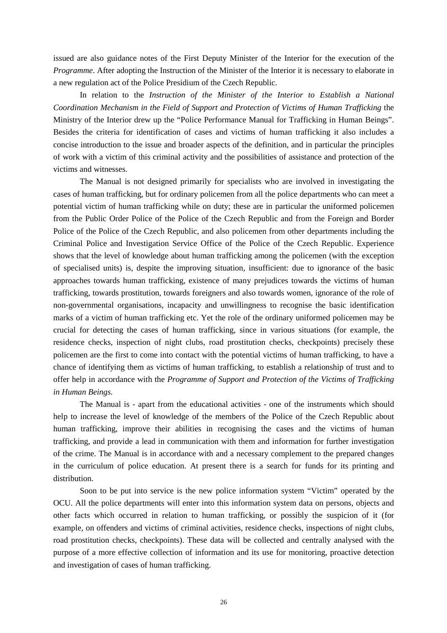issued are also guidance notes of the First Deputy Minister of the Interior for the execution of the *Programme*. After adopting the Instruction of the Minister of the Interior it is necessary to elaborate in a new regulation act of the Police Presidium of the Czech Republic.

In relation to the *Instruction of the Minister of the Interior to Establish a National Coordination Mechanism in the Field of Support and Protection of Victims of Human Trafficking* the Ministry of the Interior drew up the "Police Performance Manual for Trafficking in Human Beings". Besides the criteria for identification of cases and victims of human trafficking it also includes a concise introduction to the issue and broader aspects of the definition, and in particular the principles of work with a victim of this criminal activity and the possibilities of assistance and protection of the victims and witnesses.

The Manual is not designed primarily for specialists who are involved in investigating the cases of human trafficking, but for ordinary policemen from all the police departments who can meet a potential victim of human trafficking while on duty; these are in particular the uniformed policemen from the Public Order Police of the Police of the Czech Republic and from the Foreign and Border Police of the Police of the Czech Republic, and also policemen from other departments including the Criminal Police and Investigation Service Office of the Police of the Czech Republic. Experience shows that the level of knowledge about human trafficking among the policemen (with the exception of specialised units) is, despite the improving situation, insufficient: due to ignorance of the basic approaches towards human trafficking, existence of many prejudices towards the victims of human trafficking, towards prostitution, towards foreigners and also towards women, ignorance of the role of non-governmental organisations, incapacity and unwillingness to recognise the basic identification marks of a victim of human trafficking etc. Yet the role of the ordinary uniformed policemen may be crucial for detecting the cases of human trafficking, since in various situations (for example, the residence checks, inspection of night clubs, road prostitution checks, checkpoints) precisely these policemen are the first to come into contact with the potential victims of human trafficking, to have a chance of identifying them as victims of human trafficking, to establish a relationship of trust and to offer help in accordance with the *Programme of Support and Protection of the Victims of Trafficking in Human Beings.*

The Manual is - apart from the educational activities - one of the instruments which should help to increase the level of knowledge of the members of the Police of the Czech Republic about human trafficking, improve their abilities in recognising the cases and the victims of human trafficking, and provide a lead in communication with them and information for further investigation of the crime. The Manual is in accordance with and a necessary complement to the prepared changes in the curriculum of police education. At present there is a search for funds for its printing and distribution.

 Soon to be put into service is the new police information system "Victim" operated by the OCU. All the police departments will enter into this information system data on persons, objects and other facts which occurred in relation to human trafficking, or possibly the suspicion of it (for example, on offenders and victims of criminal activities, residence checks, inspections of night clubs, road prostitution checks, checkpoints). These data will be collected and centrally analysed with the purpose of a more effective collection of information and its use for monitoring, proactive detection and investigation of cases of human trafficking.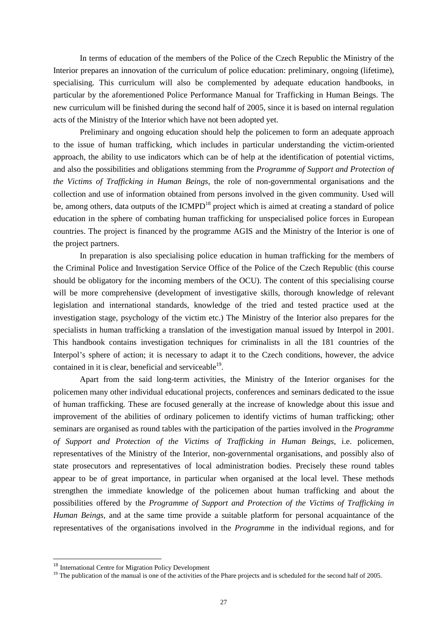In terms of education of the members of the Police of the Czech Republic the Ministry of the Interior prepares an innovation of the curriculum of police education: preliminary, ongoing (lifetime), specialising. This curriculum will also be complemented by adequate education handbooks, in particular by the aforementioned Police Performance Manual for Trafficking in Human Beings. The new curriculum will be finished during the second half of 2005, since it is based on internal regulation acts of the Ministry of the Interior which have not been adopted yet.

 Preliminary and ongoing education should help the policemen to form an adequate approach to the issue of human trafficking, which includes in particular understanding the victim-oriented approach, the ability to use indicators which can be of help at the identification of potential victims, and also the possibilities and obligations stemming from the *Programme of Support and Protection of the Victims of Trafficking in Human Beings*, the role of non-governmental organisations and the collection and use of information obtained from persons involved in the given community. Used will be, among others, data outputs of the ICMPD<sup>18</sup> project which is aimed at creating a standard of police education in the sphere of combating human trafficking for unspecialised police forces in European countries. The project is financed by the programme AGIS and the Ministry of the Interior is one of the project partners.

 In preparation is also specialising police education in human trafficking for the members of the Criminal Police and Investigation Service Office of the Police of the Czech Republic (this course should be obligatory for the incoming members of the OCU). The content of this specialising course will be more comprehensive (development of investigative skills, thorough knowledge of relevant legislation and international standards, knowledge of the tried and tested practice used at the investigation stage, psychology of the victim etc.) The Ministry of the Interior also prepares for the specialists in human trafficking a translation of the investigation manual issued by Interpol in 2001. This handbook contains investigation techniques for criminalists in all the 181 countries of the Interpol's sphere of action; it is necessary to adapt it to the Czech conditions, however, the advice contained in it is clear, beneficial and serviceable<sup>19</sup>.

 Apart from the said long-term activities, the Ministry of the Interior organises for the policemen many other individual educational projects, conferences and seminars dedicated to the issue of human trafficking. These are focused generally at the increase of knowledge about this issue and improvement of the abilities of ordinary policemen to identify victims of human trafficking; other seminars are organised as round tables with the participation of the parties involved in the *Programme of Support and Protection of the Victims of Trafficking in Human Beings*, i.e. policemen, representatives of the Ministry of the Interior, non-governmental organisations, and possibly also of state prosecutors and representatives of local administration bodies. Precisely these round tables appear to be of great importance, in particular when organised at the local level. These methods strengthen the immediate knowledge of the policemen about human trafficking and about the possibilities offered by the *Programme of Support and Protection of the Victims of Trafficking in Human Beings*, and at the same time provide a suitable platform for personal acquaintance of the representatives of the organisations involved in the *Programme* in the individual regions, and for

<sup>&</sup>lt;sup>18</sup> International Centre for Migration Policy Development

<sup>&</sup>lt;sup>19</sup> The publication of the manual is one of the activities of the Phare projects and is scheduled for the second half of 2005.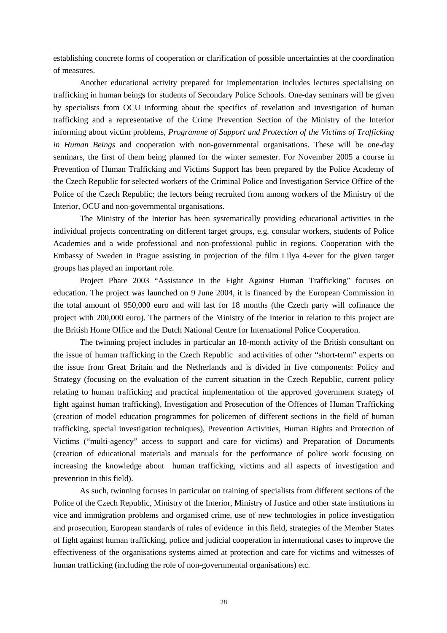establishing concrete forms of cooperation or clarification of possible uncertainties at the coordination of measures.

 Another educational activity prepared for implementation includes lectures specialising on trafficking in human beings for students of Secondary Police Schools. One-day seminars will be given by specialists from OCU informing about the specifics of revelation and investigation of human trafficking and a representative of the Crime Prevention Section of the Ministry of the Interior informing about victim problems, *Programme of Support and Protection of the Victims of Trafficking in Human Beings* and cooperation with non-governmental organisations. These will be one-day seminars, the first of them being planned for the winter semester. For November 2005 a course in Prevention of Human Trafficking and Victims Support has been prepared by the Police Academy of the Czech Republic for selected workers of the Criminal Police and Investigation Service Office of the Police of the Czech Republic; the lectors being recruited from among workers of the Ministry of the Interior, OCU and non-governmental organisations.

 The Ministry of the Interior has been systematically providing educational activities in the individual projects concentrating on different target groups, e.g. consular workers, students of Police Academies and a wide professional and non-professional public in regions. Cooperation with the Embassy of Sweden in Prague assisting in projection of the film Lilya 4-ever for the given target groups has played an important role.

 Project Phare 2003 "Assistance in the Fight Against Human Trafficking" focuses on education. The project was launched on 9 June 2004, it is financed by the European Commission in the total amount of 950,000 euro and will last for 18 months (the Czech party will cofinance the project with 200,000 euro). The partners of the Ministry of the Interior in relation to this project are the British Home Office and the Dutch National Centre for International Police Cooperation.

The twinning project includes in particular an 18-month activity of the British consultant on the issue of human trafficking in the Czech Republic and activities of other "short-term" experts on the issue from Great Britain and the Netherlands and is divided in five components: Policy and Strategy (focusing on the evaluation of the current situation in the Czech Republic, current policy relating to human trafficking and practical implementation of the approved government strategy of fight against human trafficking), Investigation and Prosecution of the Offences of Human Trafficking (creation of model education programmes for policemen of different sections in the field of human trafficking, special investigation techniques), Prevention Activities, Human Rights and Protection of Victims ("multi-agency" access to support and care for victims) and Preparation of Documents (creation of educational materials and manuals for the performance of police work focusing on increasing the knowledge about human trafficking, victims and all aspects of investigation and prevention in this field).

As such, twinning focuses in particular on training of specialists from different sections of the Police of the Czech Republic, Ministry of the Interior, Ministry of Justice and other state institutions in vice and immigration problems and organised crime, use of new technologies in police investigation and prosecution, European standards of rules of evidence in this field, strategies of the Member States of fight against human trafficking, police and judicial cooperation in international cases to improve the effectiveness of the organisations systems aimed at protection and care for victims and witnesses of human trafficking (including the role of non-governmental organisations) etc.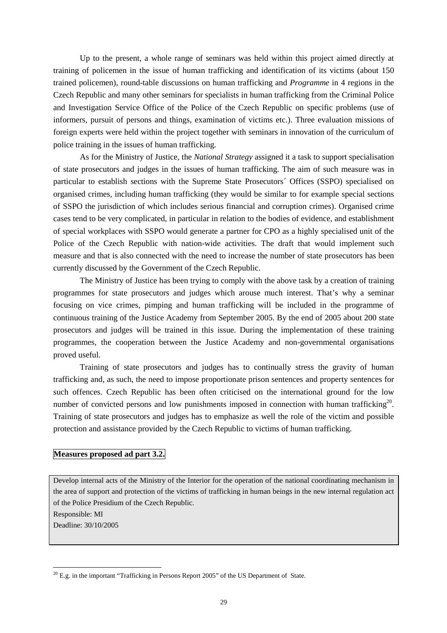Up to the present, a whole range of seminars was held within this project aimed directly at training of policemen in the issue of human trafficking and identification of its victims (about 150 trained policemen), round-table discussions on human trafficking and *Programme* in 4 regions in the Czech Republic and many other seminars for specialists in human trafficking from the Criminal Police and Investigation Service Office of the Police of the Czech Republic on specific problems (use of informers, pursuit of persons and things, examination of victims etc.). Three evaluation missions of foreign experts were held within the project together with seminars in innovation of the curriculum of police training in the issues of human trafficking.

 As for the Ministry of Justice, the *National Strategy* assigned it a task to support specialisation of state prosecutors and judges in the issues of human trafficking. The aim of such measure was in particular to establish sections with the Supreme State Prosecutors´ Offices (SSPO) specialised on organised crimes, including human trafficking (they would be similar to for example special sections of SSPO the jurisdiction of which includes serious financial and corruption crimes). Organised crime cases tend to be very complicated, in particular in relation to the bodies of evidence, and establishment of special workplaces with SSPO would generate a partner for CPO as a highly specialised unit of the Police of the Czech Republic with nation-wide activities. The draft that would implement such measure and that is also connected with the need to increase the number of state prosecutors has been currently discussed by the Government of the Czech Republic.

 The Ministry of Justice has been trying to comply with the above task by a creation of training programmes for state prosecutors and judges which arouse much interest. That's why a seminar focusing on vice crimes, pimping and human trafficking will be included in the programme of continuous training of the Justice Academy from September 2005. By the end of 2005 about 200 state prosecutors and judges will be trained in this issue. During the implementation of these training programmes, the cooperation between the Justice Academy and non-governmental organisations proved useful.

 Training of state prosecutors and judges has to continually stress the gravity of human trafficking and, as such, the need to impose proportionate prison sentences and property sentences for such offences. Czech Republic has been often criticised on the international ground for the low number of convicted persons and low punishments imposed in connection with human trafficking<sup>20</sup>. Training of state prosecutors and judges has to emphasize as well the role of the victim and possible protection and assistance provided by the Czech Republic to victims of human trafficking.

### **Measures proposed ad part 3.2.**

Develop internal acts of the Ministry of the Interior for the operation of the national coordinating mechanism in the area of support and protection of the victims of trafficking in human beings in the new internal regulation act of the Police Presidium of the Czech Republic.

Responsible: MI

Deadline: 30/10/2005

 $\overline{a}$  $^{20}$  E.g. in the important "Trafficking in Persons Report 2005" of the US Department of State.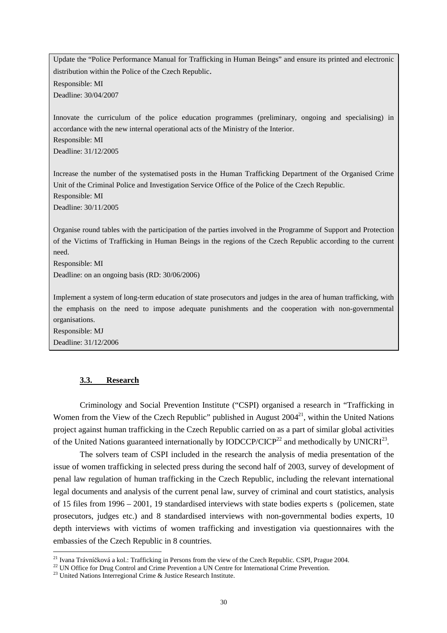Update the "Police Performance Manual for Trafficking in Human Beings" and ensure its printed and electronic distribution within the Police of the Czech Republic. Responsible: MI Deadline: 30/04/2007

Innovate the curriculum of the police education programmes (preliminary, ongoing and specialising) in accordance with the new internal operational acts of the Ministry of the Interior. Responsible: MI

Deadline: 31/12/2005

Increase the number of the systematised posts in the Human Trafficking Department of the Organised Crime Unit of the Criminal Police and Investigation Service Office of the Police of the Czech Republic. Responsible: MI Deadline: 30/11/2005

Organise round tables with the participation of the parties involved in the Programme of Support and Protection of the Victims of Trafficking in Human Beings in the regions of the Czech Republic according to the current need.

Responsible: MI

Deadline: on an ongoing basis (RD: 30/06/2006)

Implement a system of long-term education of state prosecutors and judges in the area of human trafficking, with the emphasis on the need to impose adequate punishments and the cooperation with non-governmental organisations.

Responsible: MJ Deadline: 31/12/2006

 $\overline{a}$ 

#### **3.3. Research**

 Criminology and Social Prevention Institute ("CSPI) organised a research in "Trafficking in Women from the View of the Czech Republic" published in August  $2004<sup>21</sup>$ , within the United Nations project against human trafficking in the Czech Republic carried on as a part of similar global activities of the United Nations guaranteed internationally by IODCCP/CICP<sup>22</sup> and methodically by UNICRI<sup>23</sup>.

 The solvers team of CSPI included in the research the analysis of media presentation of the issue of women trafficking in selected press during the second half of 2003, survey of development of penal law regulation of human trafficking in the Czech Republic, including the relevant international legal documents and analysis of the current penal law, survey of criminal and court statistics, analysis of 15 files from 1996 – 2001, 19 standardised interviews with state bodies experts s (policemen, state prosecutors, judges etc.) and 8 standardised interviews with non-governmental bodies experts, 10 depth interviews with victims of women trafficking and investigation via questionnaires with the embassies of the Czech Republic in 8 countries.

<sup>&</sup>lt;sup>21</sup> Ivana Trávníčková a kol.: Trafficking in Persons from the view of the Czech Republic. CSPI, Prague 2004.

<sup>&</sup>lt;sup>22</sup> UN Office for Drug Control and Crime Prevention a UN Centre for International Crime Prevention.

 $^{23}$  United Nations Interregional Crime & Justice Research Institute.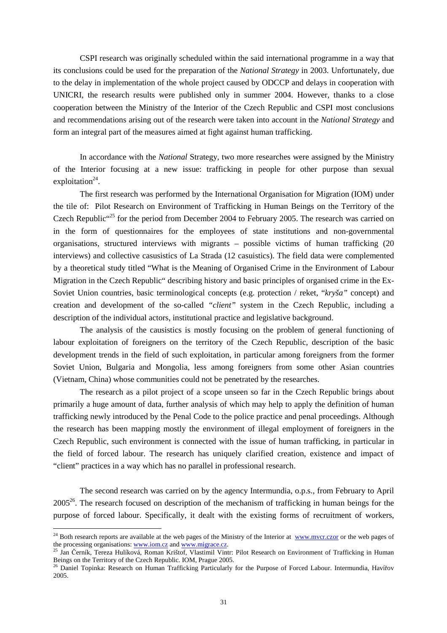CSPI research was originally scheduled within the said international programme in a way that its conclusions could be used for the preparation of the *National Strategy* in 2003. Unfortunately, due to the delay in implementation of the whole project caused by ODCCP and delays in cooperation with UNICRI, the research results were published only in summer 2004. However, thanks to a close cooperation between the Ministry of the Interior of the Czech Republic and CSPI most conclusions and recommendations arising out of the research were taken into account in the *National Strategy* and form an integral part of the measures aimed at fight against human trafficking.

In accordance with the *National* Strategy, two more researches were assigned by the Ministry of the Interior focusing at a new issue: trafficking in people for other purpose than sexual exploitation $24$ .

The first research was performed by the International Organisation for Migration (IOM) under the tile of: Pilot Research on Environment of Trafficking in Human Beings on the Territory of the Czech Republic<sup>"25</sup> for the period from December 2004 to February 2005. The research was carried on in the form of questionnaires for the employees of state institutions and non-governmental organisations, structured interviews with migrants – possible victims of human trafficking (20 interviews) and collective casusistics of La Strada (12 casuistics). The field data were complemented by a theoretical study titled "What is the Meaning of Organised Crime in the Environment of Labour Migration in the Czech Republic" describing history and basic principles of organised crime in the Ex-Soviet Union countries, basic terminological concepts (e.g. protection / reket, "*kryša"* concept) and creation and development of the so-called *"client"* system in the Czech Republic, including a description of the individual actors, institutional practice and legislative background.

The analysis of the causistics is mostly focusing on the problem of general functioning of labour exploitation of foreigners on the territory of the Czech Republic, description of the basic development trends in the field of such exploitation, in particular among foreigners from the former Soviet Union, Bulgaria and Mongolia, less among foreigners from some other Asian countries (Vietnam, China) whose communities could not be penetrated by the researches.

The research as a pilot project of a scope unseen so far in the Czech Republic brings about primarily a huge amount of data, further analysis of which may help to apply the definition of human trafficking newly introduced by the Penal Code to the police practice and penal proceedings. Although the research has been mapping mostly the environment of illegal employment of foreigners in the Czech Republic, such environment is connected with the issue of human trafficking, in particular in the field of forced labour. The research has uniquely clarified creation, existence and impact of "client" practices in a way which has no parallel in professional research.

The second research was carried on by the agency Intermundia, o.p.s., from February to April  $2005^{26}$ . The research focused on description of the mechanism of trafficking in human beings for the purpose of forced labour. Specifically, it dealt with the existing forms of recruitment of workers,

<sup>&</sup>lt;sup>24</sup> Both research reports are available at the web pages of the Ministry of the Interior at www.mvcr.czor or the web pages of the processing organisations: www.iom.cz and www.migrace.cz.

<sup>&</sup>lt;sup>25</sup> Jan Černík, Tereza Hulíková, Roman Krištof, Vlastimil Vintr: Pilot Research on Environment of Trafficking in Human Beings on the Territory of the Czech Republic. IOM, Prague 2005.

<sup>&</sup>lt;sup>26</sup> Daniel Topinka: Research on Human Trafficking Particularly for the Purpose of Forced Labour. Intermundia, Havířov 2005.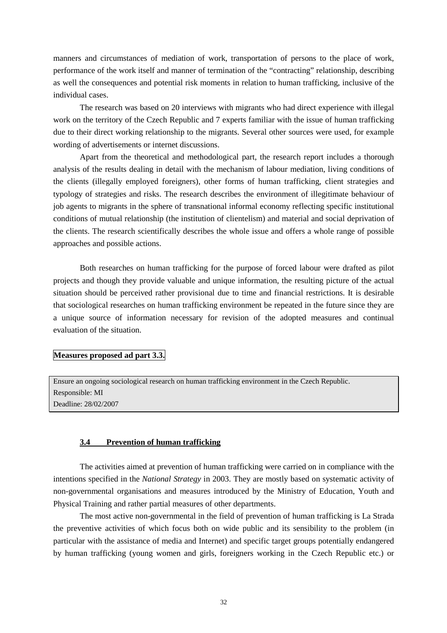manners and circumstances of mediation of work, transportation of persons to the place of work, performance of the work itself and manner of termination of the "contracting" relationship, describing as well the consequences and potential risk moments in relation to human trafficking, inclusive of the individual cases.

The research was based on 20 interviews with migrants who had direct experience with illegal work on the territory of the Czech Republic and 7 experts familiar with the issue of human trafficking due to their direct working relationship to the migrants. Several other sources were used, for example wording of advertisements or internet discussions.

Apart from the theoretical and methodological part, the research report includes a thorough analysis of the results dealing in detail with the mechanism of labour mediation, living conditions of the clients (illegally employed foreigners), other forms of human trafficking, client strategies and typology of strategies and risks. The research describes the environment of illegitimate behaviour of job agents to migrants in the sphere of transnational informal economy reflecting specific institutional conditions of mutual relationship (the institution of clientelism) and material and social deprivation of the clients. The research scientifically describes the whole issue and offers a whole range of possible approaches and possible actions.

Both researches on human trafficking for the purpose of forced labour were drafted as pilot projects and though they provide valuable and unique information, the resulting picture of the actual situation should be perceived rather provisional due to time and financial restrictions. It is desirable that sociological researches on human trafficking environment be repeated in the future since they are a unique source of information necessary for revision of the adopted measures and continual evaluation of the situation.

#### **Measures proposed ad part 3.3.**

Ensure an ongoing sociological research on human trafficking environment in the Czech Republic. Responsible: MI Deadline: 28/02/2007

#### **3.4 Prevention of human trafficking**

 The activities aimed at prevention of human trafficking were carried on in compliance with the intentions specified in the *National Strategy* in 2003. They are mostly based on systematic activity of non-governmental organisations and measures introduced by the Ministry of Education, Youth and Physical Training and rather partial measures of other departments.

 The most active non-governmental in the field of prevention of human trafficking is La Strada the preventive activities of which focus both on wide public and its sensibility to the problem (in particular with the assistance of media and Internet) and specific target groups potentially endangered by human trafficking (young women and girls, foreigners working in the Czech Republic etc.) or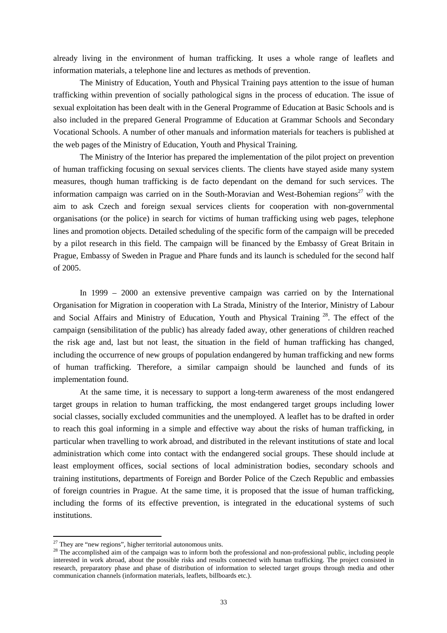already living in the environment of human trafficking. It uses a whole range of leaflets and information materials, a telephone line and lectures as methods of prevention.

 The Ministry of Education, Youth and Physical Training pays attention to the issue of human trafficking within prevention of socially pathological signs in the process of education. The issue of sexual exploitation has been dealt with in the General Programme of Education at Basic Schools and is also included in the prepared General Programme of Education at Grammar Schools and Secondary Vocational Schools. A number of other manuals and information materials for teachers is published at the web pages of the Ministry of Education, Youth and Physical Training.

 The Ministry of the Interior has prepared the implementation of the pilot project on prevention of human trafficking focusing on sexual services clients. The clients have stayed aside many system measures, though human trafficking is de facto dependant on the demand for such services. The information campaign was carried on in the South-Moravian and West-Bohemian regions<sup>27</sup> with the aim to ask Czech and foreign sexual services clients for cooperation with non-governmental organisations (or the police) in search for victims of human trafficking using web pages, telephone lines and promotion objects. Detailed scheduling of the specific form of the campaign will be preceded by a pilot research in this field. The campaign will be financed by the Embassy of Great Britain in Prague, Embassy of Sweden in Prague and Phare funds and its launch is scheduled for the second half of 2005.

In 1999 – 2000 an extensive preventive campaign was carried on by the International Organisation for Migration in cooperation with La Strada, Ministry of the Interior, Ministry of Labour and Social Affairs and Ministry of Education, Youth and Physical Training<sup>28</sup>. The effect of the campaign (sensibilitation of the public) has already faded away, other generations of children reached the risk age and, last but not least, the situation in the field of human trafficking has changed, including the occurrence of new groups of population endangered by human trafficking and new forms of human trafficking. Therefore, a similar campaign should be launched and funds of its implementation found.

 At the same time, it is necessary to support a long-term awareness of the most endangered target groups in relation to human trafficking, the most endangered target groups including lower social classes, socially excluded communities and the unemployed. A leaflet has to be drafted in order to reach this goal informing in a simple and effective way about the risks of human trafficking, in particular when travelling to work abroad, and distributed in the relevant institutions of state and local administration which come into contact with the endangered social groups. These should include at least employment offices, social sections of local administration bodies, secondary schools and training institutions, departments of Foreign and Border Police of the Czech Republic and embassies of foreign countries in Prague. At the same time, it is proposed that the issue of human trafficking, including the forms of its effective prevention, is integrated in the educational systems of such institutions.

 $27$  They are "new regions", higher territorial autonomous units.

<sup>&</sup>lt;sup>28</sup> The accomplished aim of the campaign was to inform both the professional and non-professional public, including people interested in work abroad, about the possible risks and results connected with human trafficking. The project consisted in research, preparatory phase and phase of distribution of information to selected target groups through media and other communication channels (information materials, leaflets, billboards etc.).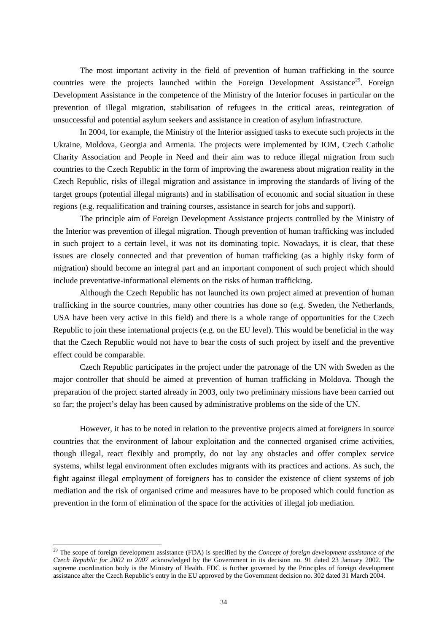The most important activity in the field of prevention of human trafficking in the source countries were the projects launched within the Foreign Development Assistance<sup>29</sup>. Foreign Development Assistance in the competence of the Ministry of the Interior focuses in particular on the prevention of illegal migration, stabilisation of refugees in the critical areas, reintegration of unsuccessful and potential asylum seekers and assistance in creation of asylum infrastructure.

 In 2004, for example, the Ministry of the Interior assigned tasks to execute such projects in the Ukraine, Moldova, Georgia and Armenia. The projects were implemented by IOM, Czech Catholic Charity Association and People in Need and their aim was to reduce illegal migration from such countries to the Czech Republic in the form of improving the awareness about migration reality in the Czech Republic, risks of illegal migration and assistance in improving the standards of living of the target groups (potential illegal migrants) and in stabilisation of economic and social situation in these regions (e.g. requalification and training courses, assistance in search for jobs and support).

 The principle aim of Foreign Development Assistance projects controlled by the Ministry of the Interior was prevention of illegal migration. Though prevention of human trafficking was included in such project to a certain level, it was not its dominating topic. Nowadays, it is clear, that these issues are closely connected and that prevention of human trafficking (as a highly risky form of migration) should become an integral part and an important component of such project which should include preventative-informational elements on the risks of human trafficking.

 Although the Czech Republic has not launched its own project aimed at prevention of human trafficking in the source countries, many other countries has done so (e.g. Sweden, the Netherlands, USA have been very active in this field) and there is a whole range of opportunities for the Czech Republic to join these international projects (e.g. on the EU level). This would be beneficial in the way that the Czech Republic would not have to bear the costs of such project by itself and the preventive effect could be comparable.

 Czech Republic participates in the project under the patronage of the UN with Sweden as the major controller that should be aimed at prevention of human trafficking in Moldova. Though the preparation of the project started already in 2003, only two preliminary missions have been carried out so far; the project's delay has been caused by administrative problems on the side of the UN.

 However, it has to be noted in relation to the preventive projects aimed at foreigners in source countries that the environment of labour exploitation and the connected organised crime activities, though illegal, react flexibly and promptly, do not lay any obstacles and offer complex service systems, whilst legal environment often excludes migrants with its practices and actions. As such, the fight against illegal employment of foreigners has to consider the existence of client systems of job mediation and the risk of organised crime and measures have to be proposed which could function as prevention in the form of elimination of the space for the activities of illegal job mediation.

<sup>&</sup>lt;sup>29</sup> The scope of foreign development assistance (FDA) is specified by the *Concept of foreign development assistance of the Czech Republic for 2002 to 2007* acknowledged by the Government in its decision no. 91 dated 23 January 2002. The supreme coordination body is the Ministry of Health. FDC is further governed by the Principles of foreign development assistance after the Czech Republic's entry in the EU approved by the Government decision no. 302 dated 31 March 2004.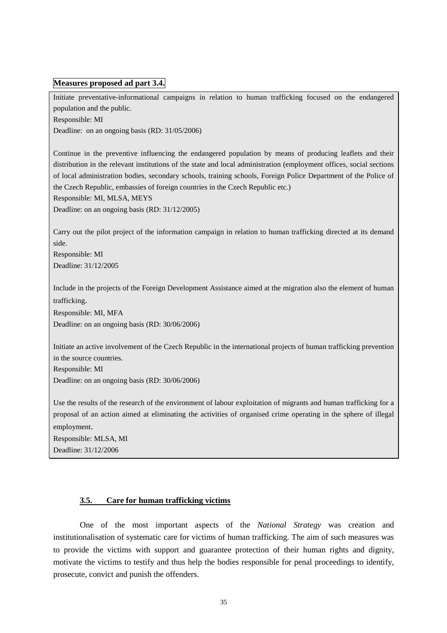#### **Measures proposed ad part 3.4.**

Initiate preventative-informational campaigns in relation to human trafficking focused on the endangered population and the public.

Responsible: MI

Deadline: on an ongoing basis (RD: 31/05/2006)

Continue in the preventive influencing the endangered population by means of producing leaflets and their distribution in the relevant institutions of the state and local administration (employment offices, social sections of local administration bodies, secondary schools, training schools, Foreign Police Department of the Police of the Czech Republic, embassies of foreign countries in the Czech Republic etc.)

Responsible: MI, MLSA, MEYS

Deadline: on an ongoing basis (RD: 31/12/2005)

Carry out the pilot project of the information campaign in relation to human trafficking directed at its demand side.

Responsible: MI Deadline: 31/12/2005

Include in the projects of the Foreign Development Assistance aimed at the migration also the element of human trafficking.

Responsible: MI, MFA

Deadline: on an ongoing basis (RD: 30/06/2006)

Initiate an active involvement of the Czech Republic in the international projects of human trafficking prevention in the source countries.

Responsible: MI

Deadline: on an ongoing basis (RD: 30/06/2006)

Use the results of the research of the environment of labour exploitation of migrants and human trafficking for a proposal of an action aimed at eliminating the activities of organised crime operating in the sphere of illegal employment.

Responsible: MLSA, MI Deadline: 31/12/2006

#### **3.5. Care for human trafficking victims**

One of the most important aspects of the *National Strategy* was creation and institutionalisation of systematic care for victims of human trafficking. The aim of such measures was to provide the victims with support and guarantee protection of their human rights and dignity, motivate the victims to testify and thus help the bodies responsible for penal proceedings to identify, prosecute, convict and punish the offenders.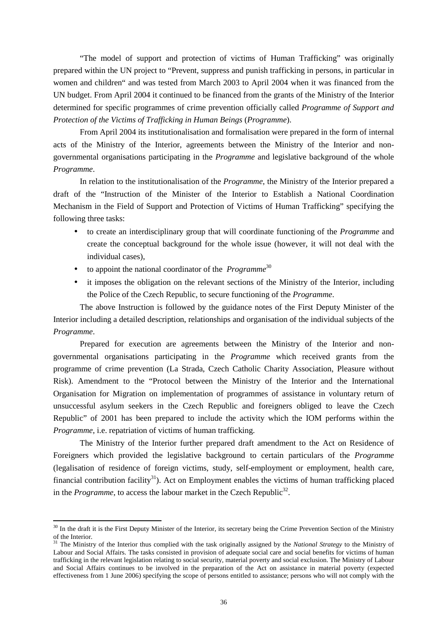"The model of support and protection of victims of Human Trafficking" was originally prepared within the UN project to "Prevent, suppress and punish trafficking in persons, in particular in women and children" and was tested from March 2003 to April 2004 when it was financed from the UN budget. From April 2004 it continued to be financed from the grants of the Ministry of the Interior determined for specific programmes of crime prevention officially called *Programme of Support and Protection of the Victims of Trafficking in Human Beings* (*Programme*).

From April 2004 its institutionalisation and formalisation were prepared in the form of internal acts of the Ministry of the Interior, agreements between the Ministry of the Interior and nongovernmental organisations participating in the *Programme* and legislative background of the whole *Programme*.

 In relation to the institutionalisation of the *Programme*, the Ministry of the Interior prepared a draft of the "Instruction of the Minister of the Interior to Establish a National Coordination Mechanism in the Field of Support and Protection of Victims of Human Trafficking" specifying the following three tasks:

- to create an interdisciplinary group that will coordinate functioning of the *Programme* and create the conceptual background for the whole issue (however, it will not deal with the individual cases),
- to appoint the national coordinator of the *Programme*<sup>30</sup>

 $\overline{a}$ 

• it imposes the obligation on the relevant sections of the Ministry of the Interior, including the Police of the Czech Republic, to secure functioning of the *Programme*.

The above Instruction is followed by the guidance notes of the First Deputy Minister of the Interior including a detailed description, relationships and organisation of the individual subjects of the *Programme*.

 Prepared for execution are agreements between the Ministry of the Interior and nongovernmental organisations participating in the *Programme* which received grants from the programme of crime prevention (La Strada, Czech Catholic Charity Association, Pleasure without Risk). Amendment to the "Protocol between the Ministry of the Interior and the International Organisation for Migration on implementation of programmes of assistance in voluntary return of unsuccessful asylum seekers in the Czech Republic and foreigners obliged to leave the Czech Republic" of 2001 has been prepared to include the activity which the IOM performs within the *Programme*, i.e. repatriation of victims of human trafficking.

 The Ministry of the Interior further prepared draft amendment to the Act on Residence of Foreigners which provided the legislative background to certain particulars of the *Programme* (legalisation of residence of foreign victims, study, self-employment or employment, health care, financial contribution facility<sup>31</sup>). Act on Employment enables the victims of human trafficking placed in the *Programme*, to access the labour market in the Czech Republic<sup>32</sup>.

 $30$  In the draft it is the First Deputy Minister of the Interior, its secretary being the Crime Prevention Section of the Ministry of the Interior.

<sup>31</sup> The Ministry of the Interior thus complied with the task originally assigned by the *National Strategy* to the Ministry of Labour and Social Affairs. The tasks consisted in provision of adequate social care and social benefits for victims of human trafficking in the relevant legislation relating to social security, material poverty and social exclusion. The Ministry of Labour and Social Affairs continues to be involved in the preparation of the Act on assistance in material poverty (expected effectiveness from 1 June 2006) specifying the scope of persons entitled to assistance; persons who will not comply with the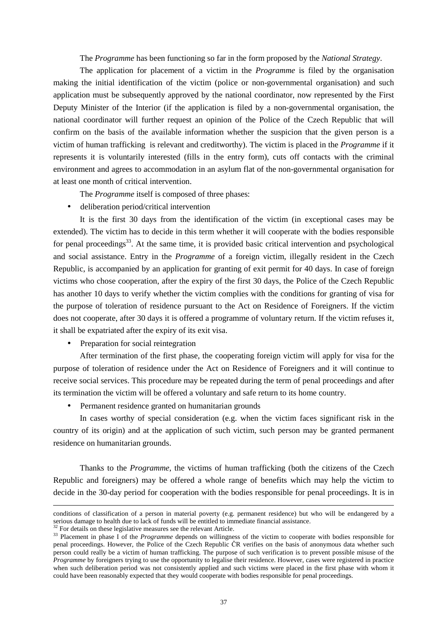The *Programme* has been functioning so far in the form proposed by the *National Strategy*.

The application for placement of a victim in the *Programme* is filed by the organisation making the initial identification of the victim (police or non-governmental organisation) and such application must be subsequently approved by the national coordinator, now represented by the First Deputy Minister of the Interior (if the application is filed by a non-governmental organisation, the national coordinator will further request an opinion of the Police of the Czech Republic that will confirm on the basis of the available information whether the suspicion that the given person is a victim of human trafficking is relevant and creditworthy). The victim is placed in the *Programme* if it represents it is voluntarily interested (fills in the entry form), cuts off contacts with the criminal environment and agrees to accommodation in an asylum flat of the non-governmental organisation for at least one month of critical intervention.

The *Programme* itself is composed of three phases:

• deliberation period/critical intervention

It is the first 30 days from the identification of the victim (in exceptional cases may be extended). The victim has to decide in this term whether it will cooperate with the bodies responsible for penal proceedings<sup>33</sup>. At the same time, it is provided basic critical intervention and psychological and social assistance. Entry in the *Programme* of a foreign victim, illegally resident in the Czech Republic, is accompanied by an application for granting of exit permit for 40 days. In case of foreign victims who chose cooperation, after the expiry of the first 30 days, the Police of the Czech Republic has another 10 days to verify whether the victim complies with the conditions for granting of visa for the purpose of toleration of residence pursuant to the Act on Residence of Foreigners. If the victim does not cooperate, after 30 days it is offered a programme of voluntary return. If the victim refuses it, it shall be expatriated after the expiry of its exit visa.

• Preparation for social reintegration

After termination of the first phase, the cooperating foreign victim will apply for visa for the purpose of toleration of residence under the Act on Residence of Foreigners and it will continue to receive social services. This procedure may be repeated during the term of penal proceedings and after its termination the victim will be offered a voluntary and safe return to its home country.

• Permanent residence granted on humanitarian grounds

In cases worthy of special consideration (e.g. when the victim faces significant risk in the country of its origin) and at the application of such victim, such person may be granted permanent residence on humanitarian grounds.

Thanks to the *Programme*, the victims of human trafficking (both the citizens of the Czech Republic and foreigners) may be offered a whole range of benefits which may help the victim to decide in the 30-day period for cooperation with the bodies responsible for penal proceedings. It is in

conditions of classification of a person in material poverty (e.g. permanent residence) but who will be endangered by a serious damage to health due to lack of funds will be entitled to immediate financial assistance.

 $32$  For details on these legislative measures see the relevant Article.

<sup>&</sup>lt;sup>33</sup> Placement in phase I of the *Programme* depends on willingness of the victim to cooperate with bodies responsible for penal proceedings. However, the Police of the Czech Republic ČR verifies on the basis of anonymous data whether such person could really be a victim of human trafficking. The purpose of such verification is to prevent possible misuse of the *Programme* by foreigners trying to use the opportunity to legalise their residence. However, cases were registered in practice when such deliberation period was not consistently applied and such victims were placed in the first phase with whom it could have been reasonably expected that they would cooperate with bodies responsible for penal proceedings.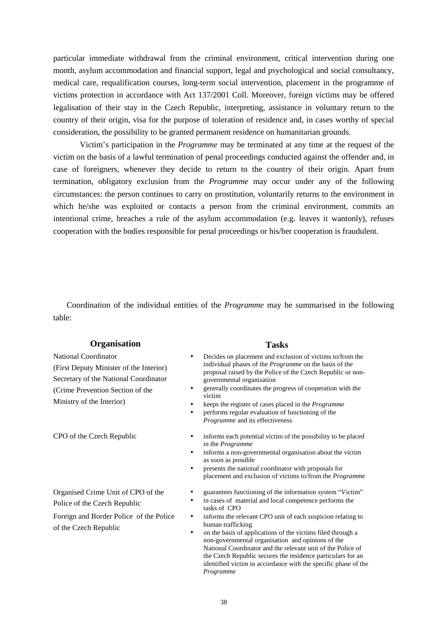particular immediate withdrawal from the criminal environment, critical intervention during one month, asylum accommodation and financial support, legal and psychological and social consultancy, medical care, requalification courses, long-term social intervention, placement in the programme of victims protection in accordance with Act 137/2001 Coll. Moreover, foreign victims may be offered legalisation of their stay in the Czech Republic, interpreting, assistance in voluntary return to the country of their origin, visa for the purpose of toleration of residence and, in cases worthy of special consideration, the possibility to be granted permanent residence on humanitarian grounds.

Victim's participation in the *Programme* may be terminated at any time at the request of the victim on the basis of a lawful termination of penal proceedings conducted against the offender and, in case of foreigners, whenever they decide to return to the country of their origin. Apart from termination, obligatory exclusion from the *Programme* may occur under any of the following circumstances: the person continues to carry on prostitution, voluntarily returns to the environment in which he/she was exploited or contacts a person from the criminal environment, commits an intentional crime, breaches a rule of the asylum accommodation (e.g. leaves it wantonly), refuses cooperation with the bodies responsible for penal proceedings or his/her cooperation is fraudulent.

Coordination of the individual entities of the *Programme* may be summarised in the following table:

#### **Organisation Tasks**

National Coordinator (First Deputy Minister of the Interior) Secretary of the National Coordinator (Crime Prevention Section of the Ministry of the Interior)

Organised Crime Unit of CPO of the Police of the Czech Republic

Foreign and Border Police of the Police of the Czech Republic

- Decides on placement and exclusion of victims to/from the individual phases of the *Programme* on the basis of the proposal raised by the Police of the Czech Republic or nongovernmental organisation
- generally coordinates the progress of cooperation with the victim
- keeps the register of cases placed in the *Programme*
- performs regular evaluation of functioning of the *Programme* and its effectiveness
- CPO of the Czech Republic informs each potential victim of the possibility to be placed in the *Programme*
	- informs a non-governmental organisation about the victim as soon as possible
	- presents the national coordinator with proposals for placement and exclusion of victims to/from the *Programme*
	- guarantees functioning of the information system "Victim"
	- in cases of material and local competence performs the tasks of CPO
	- informs the relevant CPO unit of each suspicion relating to human trafficking
	- on the basis of applications of the victims filed through a non-governmental organisation and opinions of the National Coordinator and the relevant unit of the Police of the Czech Republic secures the residence particulars for an identified victim in accordance with the specific phase of the *Programme*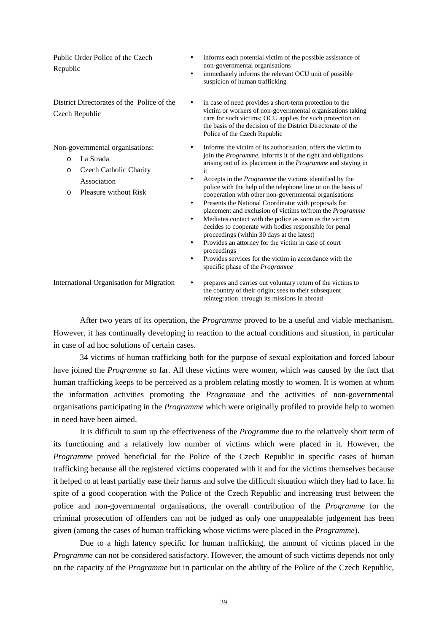Public Order Police of the Czech Republic

District Directorates of the Police of the Czech Republic

Non-governmental organisations:

- o La Strada
- o Czech Catholic Charity Association
- o Pleasure without Risk
- informs each potential victim of the possible assistance of non-governmental organisations
- immediately informs the relevant OCU unit of possible suspicion of human trafficking
- in case of need provides a short-term protection to the victim or workers of non-governmental organisations taking care for such victims; OCU applies for such protection on the basis of the decision of the District Directorate of the Police of the Czech Republic
- Informs the victim of its authorisation, offers the victim to join the *Programme*, informs it of the right and obligations arising out of its placement in the *Programme* and staying in it
- Accepts in the *Programme* the victims identified by the police with the help of the telephone line or on the basis of cooperation with other non-governmental organisations
- Presents the National Coordinator with proposals for placement and exclusion of victims to/from the *Programme*
- Mediates contact with the police as soon as the victim decides to cooperate with bodies responsible for penal proceedings (within 30 days at the latest)
- Provides an attorney for the victim in case of court proceedings
- Provides services for the victim in accordance with the specific phase of the *Programme*

International Organisation for Migration • prepares and carries out voluntary return of the victims to the country of their origin; sees to their subsequent reintegration through its missions in abroad

 After two years of its operation, the *Programme* proved to be a useful and viable mechanism. However, it has continually developing in reaction to the actual conditions and situation, in particular in case of ad hoc solutions of certain cases.

 34 victims of human trafficking both for the purpose of sexual exploitation and forced labour have joined the *Programme* so far. All these victims were women, which was caused by the fact that human trafficking keeps to be perceived as a problem relating mostly to women. It is women at whom the information activities promoting the *Programme* and the activities of non-governmental organisations participating in the *Programme* which were originally profiled to provide help to women in need have been aimed.

It is difficult to sum up the effectiveness of the *Programme* due to the relatively short term of its functioning and a relatively low number of victims which were placed in it. However, the *Programme* proved beneficial for the Police of the Czech Republic in specific cases of human trafficking because all the registered victims cooperated with it and for the victims themselves because it helped to at least partially ease their harms and solve the difficult situation which they had to face. In spite of a good cooperation with the Police of the Czech Republic and increasing trust between the police and non-governmental organisations, the overall contribution of the *Programme* for the criminal prosecution of offenders can not be judged as only one unappealable judgement has been given (among the cases of human trafficking whose victims were placed in the *Programme*).

Due to a high latency specific for human trafficking, the amount of victims placed in the *Programme* can not be considered satisfactory. However, the amount of such victims depends not only on the capacity of the *Programme* but in particular on the ability of the Police of the Czech Republic,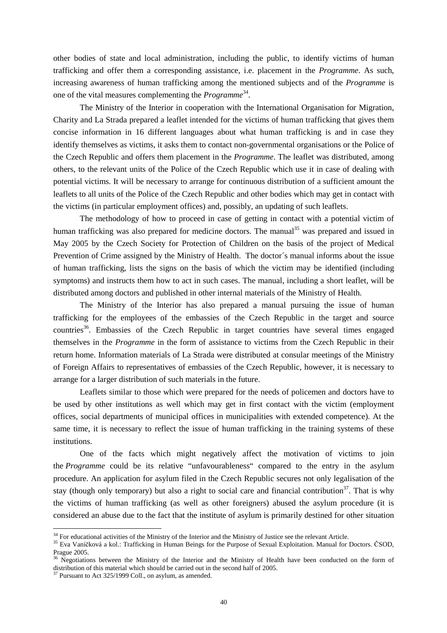other bodies of state and local administration, including the public, to identify victims of human trafficking and offer them a corresponding assistance, i.e. placement in the *Programme*. As such, increasing awareness of human trafficking among the mentioned subjects and of the *Programme* is one of the vital measures complementing the *Programme*<sup>34</sup> .

The Ministry of the Interior in cooperation with the International Organisation for Migration, Charity and La Strada prepared a leaflet intended for the victims of human trafficking that gives them concise information in 16 different languages about what human trafficking is and in case they identify themselves as victims, it asks them to contact non-governmental organisations or the Police of the Czech Republic and offers them placement in the *Programme*. The leaflet was distributed, among others, to the relevant units of the Police of the Czech Republic which use it in case of dealing with potential victims. It will be necessary to arrange for continuous distribution of a sufficient amount the leaflets to all units of the Police of the Czech Republic and other bodies which may get in contact with the victims (in particular employment offices) and, possibly, an updating of such leaflets.

The methodology of how to proceed in case of getting in contact with a potential victim of human trafficking was also prepared for medicine doctors. The manual<sup>35</sup> was prepared and issued in May 2005 by the Czech Society for Protection of Children on the basis of the project of Medical Prevention of Crime assigned by the Ministry of Health. The doctor's manual informs about the issue of human trafficking, lists the signs on the basis of which the victim may be identified (including symptoms) and instructs them how to act in such cases. The manual, including a short leaflet, will be distributed among doctors and published in other internal materials of the Ministry of Health.

The Ministry of the Interior has also prepared a manual pursuing the issue of human trafficking for the employees of the embassies of the Czech Republic in the target and source countries<sup>36</sup>. Embassies of the Czech Republic in target countries have several times engaged themselves in the *Programme* in the form of assistance to victims from the Czech Republic in their return home. Information materials of La Strada were distributed at consular meetings of the Ministry of Foreign Affairs to representatives of embassies of the Czech Republic, however, it is necessary to arrange for a larger distribution of such materials in the future.

Leaflets similar to those which were prepared for the needs of policemen and doctors have to be used by other institutions as well which may get in first contact with the victim (employment offices, social departments of municipal offices in municipalities with extended competence). At the same time, it is necessary to reflect the issue of human trafficking in the training systems of these institutions.

One of the facts which might negatively affect the motivation of victims to join the *Programme* could be its relative "unfavourableness" compared to the entry in the asylum procedure. An application for asylum filed in the Czech Republic secures not only legalisation of the stay (though only temporary) but also a right to social care and financial contribution<sup>37</sup>. That is why the victims of human trafficking (as well as other foreigners) abused the asylum procedure (it is considered an abuse due to the fact that the institute of asylum is primarily destined for other situation

 $34$  For educational activities of the Ministry of the Interior and the Ministry of Justice see the relevant Article.

<sup>&</sup>lt;sup>35</sup> Eva Vaníčková a kol.: Trafficking in Human Beings for the Purpose of Sexual Exploitation. Manual for Doctors. ČSOD, Prague 2005.

<sup>&</sup>lt;sup>36</sup> Negotiations between the Ministry of the Interior and the Ministry of Health have been conducted on the form of distribution of this material which should be carried out in the second half of 2005.

 $37$  Pursuant to Act 325/1999 Coll., on asylum, as amended.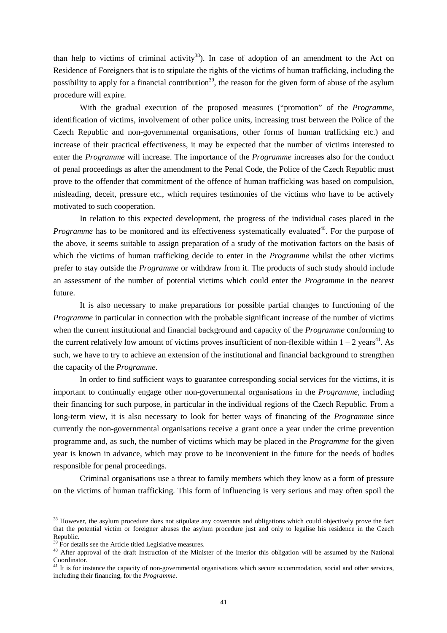than help to victims of criminal activity<sup>38</sup>). In case of adoption of an amendment to the Act on Residence of Foreigners that is to stipulate the rights of the victims of human trafficking, including the possibility to apply for a financial contribution<sup>39</sup>, the reason for the given form of abuse of the asylum procedure will expire.

With the gradual execution of the proposed measures ("promotion" of the *Programme*, identification of victims, involvement of other police units, increasing trust between the Police of the Czech Republic and non-governmental organisations, other forms of human trafficking etc.) and increase of their practical effectiveness, it may be expected that the number of victims interested to enter the *Programme* will increase. The importance of the *Programme* increases also for the conduct of penal proceedings as after the amendment to the Penal Code, the Police of the Czech Republic must prove to the offender that commitment of the offence of human trafficking was based on compulsion, misleading, deceit, pressure etc., which requires testimonies of the victims who have to be actively motivated to such cooperation.

In relation to this expected development, the progress of the individual cases placed in the *Programme* has to be monitored and its effectiveness systematically evaluated<sup>40</sup>. For the purpose of the above, it seems suitable to assign preparation of a study of the motivation factors on the basis of which the victims of human trafficking decide to enter in the *Programme* whilst the other victims prefer to stay outside the *Programme* or withdraw from it. The products of such study should include an assessment of the number of potential victims which could enter the *Programme* in the nearest future.

It is also necessary to make preparations for possible partial changes to functioning of the *Programme* in particular in connection with the probable significant increase of the number of victims when the current institutional and financial background and capacity of the *Programme* conforming to the current relatively low amount of victims proves insufficient of non-flexible within  $1 - 2$  years<sup>41</sup>. As such, we have to try to achieve an extension of the institutional and financial background to strengthen the capacity of the *Programme*.

In order to find sufficient ways to guarantee corresponding social services for the victims, it is important to continually engage other non-governmental organisations in the *Programme*, including their financing for such purpose, in particular in the individual regions of the Czech Republic. From a long-term view, it is also necessary to look for better ways of financing of the *Programme* since currently the non-governmental organisations receive a grant once a year under the crime prevention programme and, as such, the number of victims which may be placed in the *Programme* for the given year is known in advance, which may prove to be inconvenient in the future for the needs of bodies responsible for penal proceedings.

Criminal organisations use a threat to family members which they know as a form of pressure on the victims of human trafficking. This form of influencing is very serious and may often spoil the

<sup>&</sup>lt;sup>38</sup> However, the asylum procedure does not stipulate any covenants and obligations which could objectively prove the fact that the potential victim or foreigner abuses the asylum procedure just and only to legalise his residence in the Czech Republic.

 $39 \text{ F}$  For details see the Article titled Legislative measures.

<sup>&</sup>lt;sup>40</sup> After approval of the draft Instruction of the Minister of the Interior this obligation will be assumed by the National Coordinator.

 $41$  It is for instance the capacity of non-governmental organisations which secure accommodation, social and other services, including their financing, for the *Programme*.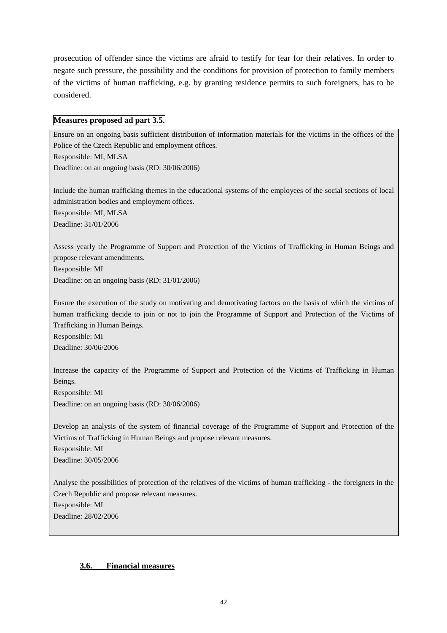prosecution of offender since the victims are afraid to testify for fear for their relatives. In order to negate such pressure, the possibility and the conditions for provision of protection to family members of the victims of human trafficking, e.g. by granting residence permits to such foreigners, has to be considered.

## **Measures proposed ad part 3.5.**

Ensure on an ongoing basis sufficient distribution of information materials for the victims in the offices of the Police of the Czech Republic and employment offices. Responsible: MI, MLSA Deadline: on an ongoing basis (RD: 30/06/2006) Include the human trafficking themes in the educational systems of the employees of the social sections of local administration bodies and employment offices. Responsible: MI, MLSA Deadline: 31/01/2006 Assess yearly the Programme of Support and Protection of the Victims of Trafficking in Human Beings and propose relevant amendments. Responsible: MI Deadline: on an ongoing basis (RD: 31/01/2006) Ensure the execution of the study on motivating and demotivating factors on the basis of which the victims of human trafficking decide to join or not to join the Programme of Support and Protection of the Victims of Trafficking in Human Beings. Responsible: MI Deadline: 30/06/2006 Increase the capacity of the Programme of Support and Protection of the Victims of Trafficking in Human Beings. Responsible: MI Deadline: on an ongoing basis (RD: 30/06/2006) Develop an analysis of the system of financial coverage of the Programme of Support and Protection of the Victims of Trafficking in Human Beings and propose relevant measures. Responsible: MI Deadline: 30/05/2006

Analyse the possibilities of protection of the relatives of the victims of human trafficking - the foreigners in the Czech Republic and propose relevant measures. Responsible: MI Deadline: 28/02/2006

## **3.6. Financial measures**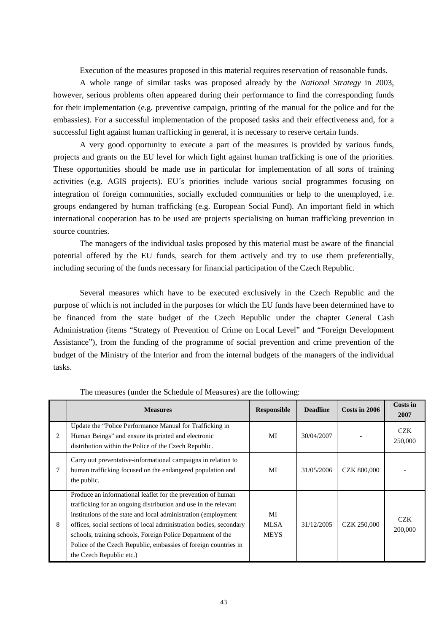Execution of the measures proposed in this material requires reservation of reasonable funds.

 A whole range of similar tasks was proposed already by the *National Strategy* in 2003, however, serious problems often appeared during their performance to find the corresponding funds for their implementation (e.g. preventive campaign, printing of the manual for the police and for the embassies). For a successful implementation of the proposed tasks and their effectiveness and, for a successful fight against human trafficking in general, it is necessary to reserve certain funds.

 A very good opportunity to execute a part of the measures is provided by various funds, projects and grants on the EU level for which fight against human trafficking is one of the priorities. These opportunities should be made use in particular for implementation of all sorts of training activities (e.g. AGIS projects). EU´s priorities include various social programmes focusing on integration of foreign communities, socially excluded communities or help to the unemployed, i.e. groups endangered by human trafficking (e.g. European Social Fund). An important field in which international cooperation has to be used are projects specialising on human trafficking prevention in source countries.

 The managers of the individual tasks proposed by this material must be aware of the financial potential offered by the EU funds, search for them actively and try to use them preferentially, including securing of the funds necessary for financial participation of the Czech Republic.

 Several measures which have to be executed exclusively in the Czech Republic and the purpose of which is not included in the purposes for which the EU funds have been determined have to be financed from the state budget of the Czech Republic under the chapter General Cash Administration (items "Strategy of Prevention of Crime on Local Level" and "Foreign Development Assistance"), from the funding of the programme of social prevention and crime prevention of the budget of the Ministry of the Interior and from the internal budgets of the managers of the individual tasks.

|   | <b>Measures</b>                                                                                                                                                                                                                                                                                                                                                                                                                        | <b>Responsible</b>               | <b>Deadline</b> | Costs in 2006      | Costs in<br>2007      |
|---|----------------------------------------------------------------------------------------------------------------------------------------------------------------------------------------------------------------------------------------------------------------------------------------------------------------------------------------------------------------------------------------------------------------------------------------|----------------------------------|-----------------|--------------------|-----------------------|
| 2 | Update the "Police Performance Manual for Trafficking in<br>Human Beings" and ensure its printed and electronic<br>distribution within the Police of the Czech Republic.                                                                                                                                                                                                                                                               | MI                               | 30/04/2007      |                    | <b>CZK</b><br>250,000 |
|   | Carry out preventative-informational campaigns in relation to<br>human trafficking focused on the endangered population and<br>the public.                                                                                                                                                                                                                                                                                             | MI                               | 31/05/2006      | <b>CZK 800,000</b> |                       |
| 8 | Produce an informational leaflet for the prevention of human<br>trafficking for an ongoing distribution and use in the relevant<br>institutions of the state and local administration (employment)<br>offices, social sections of local administration bodies, secondary<br>schools, training schools, Foreign Police Department of the<br>Police of the Czech Republic, embassies of foreign countries in<br>the Czech Republic etc.) | MI<br><b>MLSA</b><br><b>MEYS</b> | 31/12/2005      | <b>CZK 250,000</b> | <b>CZK</b><br>200,000 |

The measures (under the Schedule of Measures) are the following: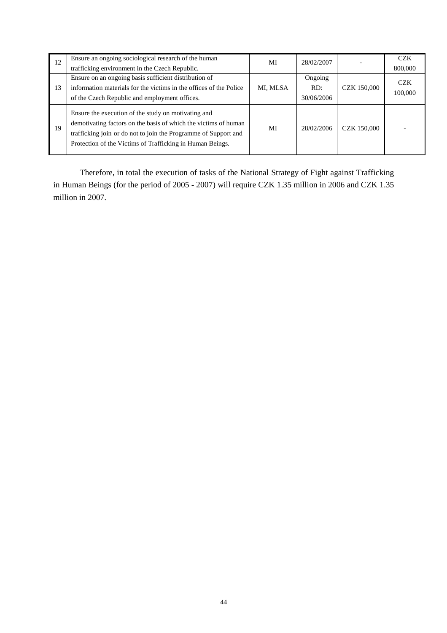| 12 | Ensure an ongoing sociological research of the human                                                                                                                                                                                                   | MI       | 28/02/2007 |                    | <b>CZK</b> |
|----|--------------------------------------------------------------------------------------------------------------------------------------------------------------------------------------------------------------------------------------------------------|----------|------------|--------------------|------------|
|    | trafficking environment in the Czech Republic.                                                                                                                                                                                                         |          |            |                    | 800,000    |
|    | Ensure on an ongoing basis sufficient distribution of                                                                                                                                                                                                  |          | Ongoing    |                    | <b>CZK</b> |
| 13 | information materials for the victims in the offices of the Police                                                                                                                                                                                     | MI, MLSA | RD:        | <b>CZK 150,000</b> | 100,000    |
|    | of the Czech Republic and employment offices.                                                                                                                                                                                                          |          | 30/06/2006 |                    |            |
| 19 | Ensure the execution of the study on motivating and<br>demotivating factors on the basis of which the victims of human<br>trafficking join or do not to join the Programme of Support and<br>Protection of the Victims of Trafficking in Human Beings. | MI       | 28/02/2006 | <b>CZK 150,000</b> |            |

 Therefore, in total the execution of tasks of the National Strategy of Fight against Trafficking in Human Beings (for the period of 2005 - 2007) will require CZK 1.35 million in 2006 and CZK 1.35 million in 2007.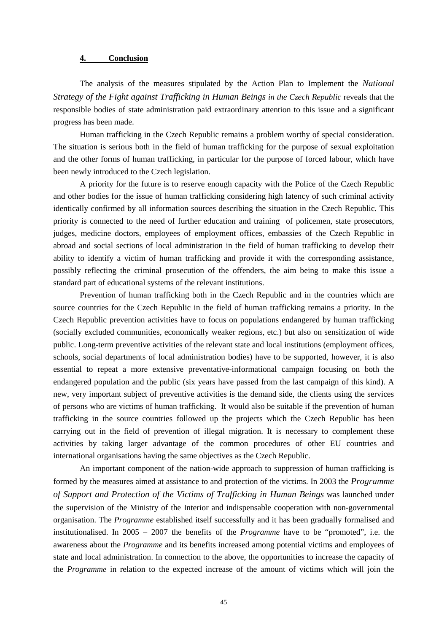### **4. Conclusion**

The analysis of the measures stipulated by the Action Plan to Implement the *National Strategy of the Fight against Trafficking in Human Beings in the Czech Republic* reveals that the responsible bodies of state administration paid extraordinary attention to this issue and a significant progress has been made.

Human trafficking in the Czech Republic remains a problem worthy of special consideration. The situation is serious both in the field of human trafficking for the purpose of sexual exploitation and the other forms of human trafficking, in particular for the purpose of forced labour, which have been newly introduced to the Czech legislation.

 A priority for the future is to reserve enough capacity with the Police of the Czech Republic and other bodies for the issue of human trafficking considering high latency of such criminal activity identically confirmed by all information sources describing the situation in the Czech Republic. This priority is connected to the need of further education and training of policemen, state prosecutors, judges, medicine doctors, employees of employment offices, embassies of the Czech Republic in abroad and social sections of local administration in the field of human trafficking to develop their ability to identify a victim of human trafficking and provide it with the corresponding assistance, possibly reflecting the criminal prosecution of the offenders, the aim being to make this issue a standard part of educational systems of the relevant institutions.

 Prevention of human trafficking both in the Czech Republic and in the countries which are source countries for the Czech Republic in the field of human trafficking remains a priority. In the Czech Republic prevention activities have to focus on populations endangered by human trafficking (socially excluded communities, economically weaker regions, etc.) but also on sensitization of wide public. Long-term preventive activities of the relevant state and local institutions (employment offices, schools, social departments of local administration bodies) have to be supported, however, it is also essential to repeat a more extensive preventative-informational campaign focusing on both the endangered population and the public (six years have passed from the last campaign of this kind). A new, very important subject of preventive activities is the demand side, the clients using the services of persons who are victims of human trafficking. It would also be suitable if the prevention of human trafficking in the source countries followed up the projects which the Czech Republic has been carrying out in the field of prevention of illegal migration. It is necessary to complement these activities by taking larger advantage of the common procedures of other EU countries and international organisations having the same objectives as the Czech Republic.

 An important component of the nation-wide approach to suppression of human trafficking is formed by the measures aimed at assistance to and protection of the victims. In 2003 the *Programme of Support and Protection of the Victims of Trafficking in Human Beings* was launched under the supervision of the Ministry of the Interior and indispensable cooperation with non-governmental organisation. The *Programme* established itself successfully and it has been gradually formalised and institutionalised. In 2005 – 2007 the benefits of the *Programme* have to be "promoted", i.e. the awareness about the *Programme* and its benefits increased among potential victims and employees of state and local administration. In connection to the above, the opportunities to increase the capacity of the *Programme* in relation to the expected increase of the amount of victims which will join the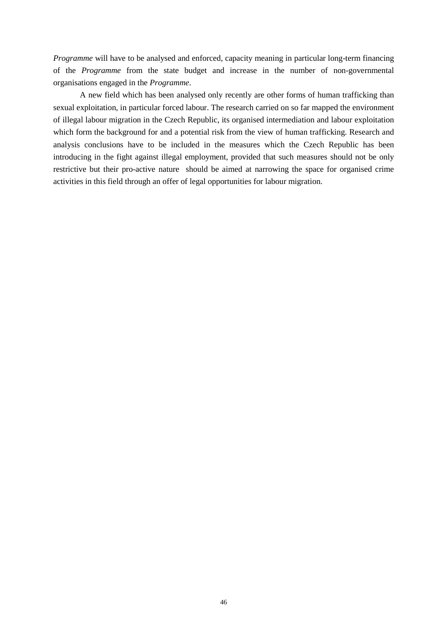*Programme* will have to be analysed and enforced, capacity meaning in particular long-term financing of the *Programme* from the state budget and increase in the number of non-governmental organisations engaged in the *Programme*.

 A new field which has been analysed only recently are other forms of human trafficking than sexual exploitation, in particular forced labour. The research carried on so far mapped the environment of illegal labour migration in the Czech Republic, its organised intermediation and labour exploitation which form the background for and a potential risk from the view of human trafficking. Research and analysis conclusions have to be included in the measures which the Czech Republic has been introducing in the fight against illegal employment, provided that such measures should not be only restrictive but their pro-active nature should be aimed at narrowing the space for organised crime activities in this field through an offer of legal opportunities for labour migration.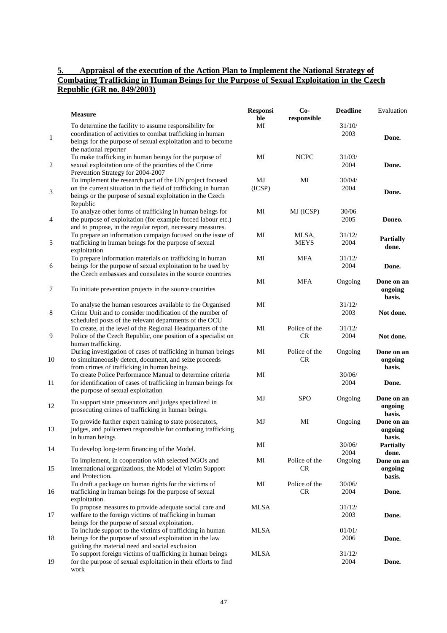#### **5. Appraisal of the execution of the Action Plan to Implement the National Strategy of Combating Trafficking in Human Beings for the Purpose of Sexual Exploitation in the Czech Republic (GR no. 849/2003)**

|                | <b>Measure</b>                                                                                                                                                                                              | <b>Responsi</b><br>ble | $Co-$<br>responsible | <b>Deadline</b> | Evaluation                      |
|----------------|-------------------------------------------------------------------------------------------------------------------------------------------------------------------------------------------------------------|------------------------|----------------------|-----------------|---------------------------------|
| $\mathbf{1}$   | To determine the facility to assume responsibility for<br>coordination of activities to combat trafficking in human<br>beings for the purpose of sexual exploitation and to become<br>the national reporter | MI                     |                      | 31/10/<br>2003  | Done.                           |
| $\overline{2}$ | To make trafficking in human beings for the purpose of<br>sexual exploitation one of the priorities of the Crime<br>Prevention Strategy for 2004-2007                                                       | MI                     | <b>NCPC</b>          | 31/03/<br>2004  | Done.                           |
| 3              | To implement the research part of the UN project focused<br>on the current situation in the field of trafficking in human<br>beings or the purpose of sexual exploitation in the Czech                      | MJ<br>(ICSP)           | MI                   | 30/04/<br>2004  | Done.                           |
| 4              | Republic<br>To analyze other forms of trafficking in human beings for<br>the purpose of exploitation (for example forced labour etc.)<br>and to propose, in the regular report, necessary measures.         | MI                     | MJ (ICSP)            | 30/06<br>2005   | Doneo.                          |
| 5              | To prepare an information campaign focused on the issue of<br>trafficking in human beings for the purpose of sexual<br>exploitation                                                                         | MI                     | MLSA,<br><b>MEYS</b> | 31/12/<br>2004  | <b>Partially</b><br>done.       |
| 6              | To prepare information materials on trafficking in human<br>beings for the purpose of sexual exploitation to be used by<br>the Czech embassies and consulates in the source countries                       | MI                     | <b>MFA</b>           | 31/12/<br>2004  | Done.                           |
| $\tau$         | To initiate prevention projects in the source countries                                                                                                                                                     | MI                     | <b>MFA</b>           | Ongoing         | Done on an<br>ongoing<br>basis. |
| 8              | To analyse the human resources available to the Organised<br>Crime Unit and to consider modification of the number of<br>scheduled posts of the relevant departments of the OCU                             | MI                     |                      | 31/12/<br>2003  | Not done.                       |
| 9              | To create, at the level of the Regional Headquarters of the<br>Police of the Czech Republic, one position of a specialist on<br>human trafficking.                                                          | MI                     | Police of the<br>CR  | 31/12/<br>2004  | Not done.                       |
| 10             | During investigation of cases of trafficking in human beings<br>to simultaneously detect, document, and seize proceeds<br>from crimes of trafficking in human beings                                        | MI                     | Police of the<br>CR  | Ongoing         | Done on an<br>ongoing<br>basis. |
| 11             | To create Police Performance Manual to determine criteria<br>for identification of cases of trafficking in human beings for<br>the purpose of sexual exploitation                                           | MI                     |                      | 30/06/<br>2004  | Done.                           |
| 12             | To support state prosecutors and judges specialized in<br>prosecuting crimes of trafficking in human beings.                                                                                                | MJ                     | <b>SPO</b>           | Ongoing         | Done on an<br>ongoing<br>basis. |
| 13             | To provide further expert training to state prosecutors,<br>judges, and policemen responsible for combating trafficking<br>in human beings                                                                  | MJ                     | MI                   | Ongoing         | Done on an<br>ongoing<br>basis. |
| 14             | To develop long-term financing of the Model.                                                                                                                                                                | MI                     |                      | 30/06/<br>2004  | <b>Partially</b><br>done.       |
| 15             | To implement, in cooperation with selected NGOs and<br>international organizations, the Model of Victim Support<br>and Protection.                                                                          | MI                     | Police of the<br>CR. | Ongoing         | Done on an<br>ongoing<br>basis. |
| 16             | To draft a package on human rights for the victims of<br>trafficking in human beings for the purpose of sexual<br>exploitation.                                                                             | MI                     | Police of the<br>CR  | 30/06/<br>2004  | Done.                           |
| 17             | To propose measures to provide adequate social care and<br>welfare to the foreign victims of trafficking in human<br>beings for the purpose of sexual exploitation.                                         | <b>MLSA</b>            |                      | 31/12/<br>2003  | Done.                           |
| 18             | To include support to the victims of trafficking in human<br>beings for the purpose of sexual exploitation in the law<br>guiding the material need and social exclusion                                     | <b>MLSA</b>            |                      | 01/01/<br>2006  | Done.                           |
| 19             | To support foreign victims of trafficking in human beings<br>for the purpose of sexual exploitation in their efforts to find<br>work                                                                        | <b>MLSA</b>            |                      | 31/12/<br>2004  | Done.                           |